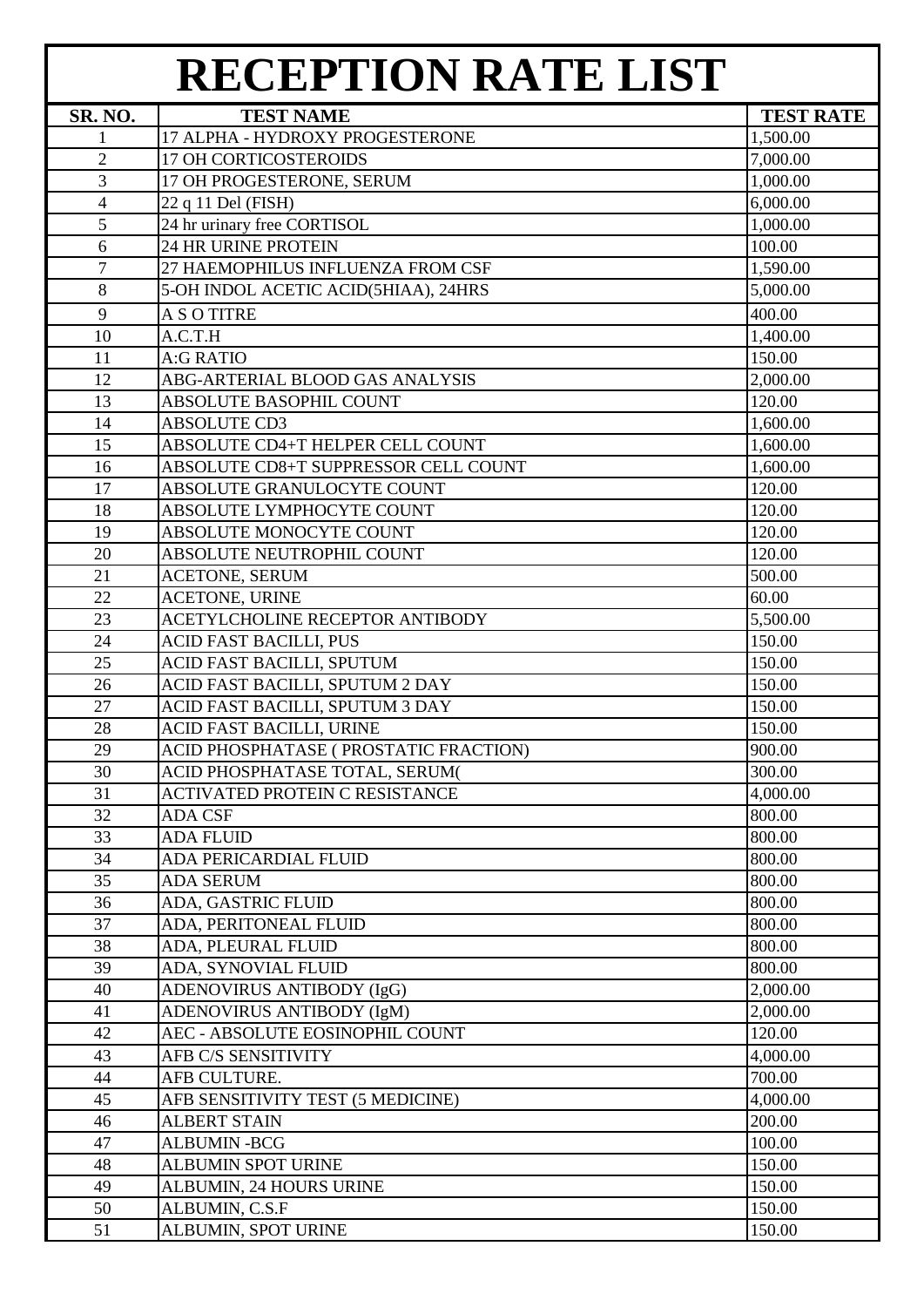## **RECEPTION RATE LIST**

|                | <b>TEST NAME</b>                                           | <b>TEST RATE</b> |
|----------------|------------------------------------------------------------|------------------|
| SR. NO.<br>1   | 17 ALPHA - HYDROXY PROGESTERONE                            | 1,500.00         |
| $\overline{2}$ | 17 OH CORTICOSTEROIDS                                      | 7,000.00         |
| 3              | 17 OH PROGESTERONE, SERUM                                  | 1,000.00         |
| 4              | 22 q 11 Del (FISH)                                         | 6,000.00         |
| 5              | 24 hr urinary free CORTISOL                                | 1,000.00         |
| 6              | 24 HR URINE PROTEIN                                        | 100.00           |
| $\overline{7}$ | 27 HAEMOPHILUS INFLUENZA FROM CSF                          | 1,590.00         |
| $8\,$          | 5-OH INDOL ACETIC ACID(5HIAA), 24HRS                       | 5,000.00         |
|                |                                                            |                  |
| 9              | <b>A S O TITRE</b>                                         | 400.00           |
| 10             | A.C.T.H                                                    | 1,400.00         |
| 11             | <b>A:G RATIO</b>                                           | 150.00           |
| 12             | ABG-ARTERIAL BLOOD GAS ANALYSIS                            | 2,000.00         |
| 13             | <b>ABSOLUTE BASOPHIL COUNT</b>                             | 120.00           |
| 14             | <b>ABSOLUTE CD3</b>                                        | 1,600.00         |
| 15             | <b>ABSOLUTE CD4+T HELPER CELL COUNT</b>                    | 1,600.00         |
| 16             | ABSOLUTE CD8+T SUPPRESSOR CELL COUNT                       | 1,600.00         |
| 17             | ABSOLUTE GRANULOCYTE COUNT                                 | 120.00           |
| 18             | ABSOLUTE LYMPHOCYTE COUNT                                  | 120.00           |
| 19             | <b>ABSOLUTE MONOCYTE COUNT</b>                             | 120.00           |
| 20             | ABSOLUTE NEUTROPHIL COUNT                                  | 120.00           |
| 21             | <b>ACETONE, SERUM</b>                                      | 500.00           |
| 22             | <b>ACETONE, URINE</b>                                      | 60.00            |
| 23<br>24       | ACETYLCHOLINE RECEPTOR ANTIBODY                            | 5,500.00         |
| 25             | <b>ACID FAST BACILLI, PUS</b><br>ACID FAST BACILLI, SPUTUM | 150.00<br>150.00 |
| 26             | ACID FAST BACILLI, SPUTUM 2 DAY                            | 150.00           |
| 27             | ACID FAST BACILLI, SPUTUM 3 DAY                            | 150.00           |
| 28             | <b>ACID FAST BACILLI, URINE</b>                            | 150.00           |
| 29             | ACID PHOSPHATASE (PROSTATIC FRACTION)                      | 900.00           |
| 30             | ACID PHOSPHATASE TOTAL, SERUM(                             | 300.00           |
| 31             | <b>ACTIVATED PROTEIN C RESISTANCE</b>                      | 4,000.00         |
| 32             | <b>ADA CSF</b>                                             | 800.00           |
| 33             | <b>ADA FLUID</b>                                           | 800.00           |
| 34             | ADA PERICARDIAL FLUID                                      | 800.00           |
| 35             | <b>ADA SERUM</b>                                           | 800.00           |
| 36             | ADA, GASTRIC FLUID                                         | 800.00           |
| 37             | ADA, PERITONEAL FLUID                                      | 800.00           |
| 38             | ADA, PLEURAL FLUID                                         | 800.00           |
| 39             | <b>ADA, SYNOVIAL FLUID</b>                                 | 800.00           |
| 40             | ADENOVIRUS ANTIBODY (IgG)                                  | 2,000.00         |
| 41             | ADENOVIRUS ANTIBODY (IgM)                                  | 2,000.00         |
| 42             | AEC - ABSOLUTE EOSINOPHIL COUNT                            | 120.00           |
| 43             | AFB C/S SENSITIVITY                                        | 4,000.00         |
| 44             | AFB CULTURE.                                               | 700.00           |
| 45             | AFB SENSITIVITY TEST (5 MEDICINE)                          | 4,000.00         |
| 46             | <b>ALBERT STAIN</b>                                        | 200.00           |
| 47             | <b>ALBUMIN-BCG</b>                                         | 100.00           |
| 48             | <b>ALBUMIN SPOT URINE</b>                                  | 150.00           |
| 49             | ALBUMIN, 24 HOURS URINE                                    | 150.00           |
| 50             | ALBUMIN, C.S.F                                             | 150.00           |
| 51             | ALBUMIN, SPOT URINE                                        | 150.00           |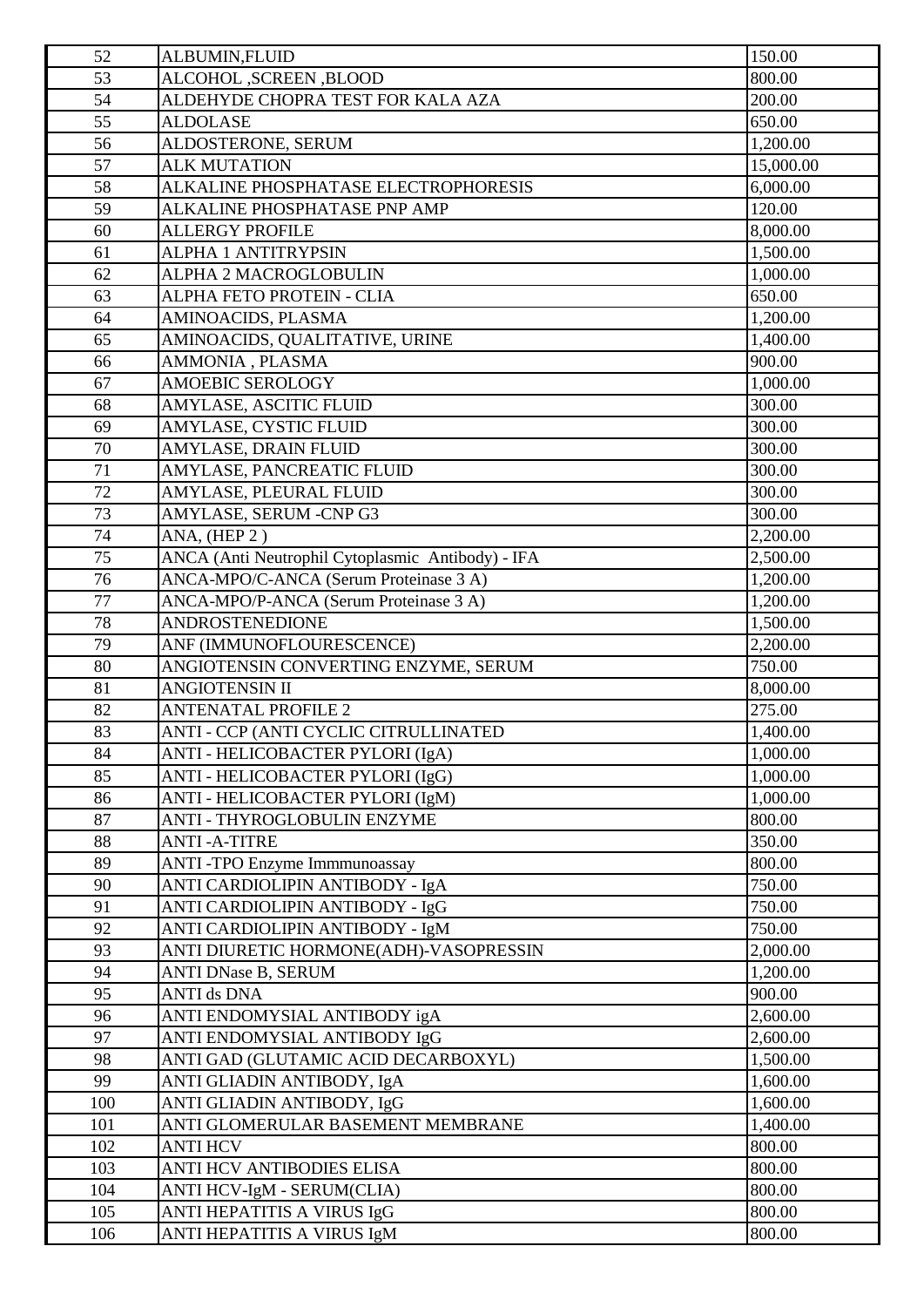| 52  | ALBUMIN, FLUID                                    | 150.00    |
|-----|---------------------------------------------------|-----------|
| 53  | ALCOHOL , SCREEN , BLOOD                          | 800.00    |
| 54  | ALDEHYDE CHOPRA TEST FOR KALA AZA                 | 200.00    |
| 55  | <b>ALDOLASE</b>                                   | 650.00    |
| 56  | ALDOSTERONE, SERUM                                | 1,200.00  |
| 57  | <b>ALK MUTATION</b>                               | 15,000.00 |
| 58  | ALKALINE PHOSPHATASE ELECTROPHORESIS              | 6,000.00  |
| 59  | ALKALINE PHOSPHATASE PNP AMP                      | 120.00    |
| 60  | <b>ALLERGY PROFILE</b>                            | 8,000.00  |
| 61  | <b>ALPHA 1 ANTITRYPSIN</b>                        | 1,500.00  |
| 62  | ALPHA 2 MACROGLOBULIN                             | 1,000.00  |
| 63  | ALPHA FETO PROTEIN - CLIA                         | 650.00    |
| 64  | AMINOACIDS, PLASMA                                | 1,200.00  |
| 65  | AMINOACIDS, QUALITATIVE, URINE                    | 1,400.00  |
| 66  | AMMONIA, PLASMA                                   | 900.00    |
| 67  | <b>AMOEBIC SEROLOGY</b>                           | 1,000.00  |
| 68  | <b>AMYLASE, ASCITIC FLUID</b>                     | 300.00    |
| 69  | AMYLASE, CYSTIC FLUID                             | 300.00    |
| 70  | AMYLASE, DRAIN FLUID                              | 300.00    |
| 71  | AMYLASE, PANCREATIC FLUID                         | 300.00    |
| 72  | AMYLASE, PLEURAL FLUID                            | 300.00    |
| 73  | AMYLASE, SERUM -CNP G3                            | 300.00    |
| 74  | ANA, (HEP 2)                                      | 2,200.00  |
| 75  | ANCA (Anti Neutrophil Cytoplasmic Antibody) - IFA | 2,500.00  |
|     |                                                   |           |
| 76  | ANCA-MPO/C-ANCA (Serum Proteinase 3 A)            | 1,200.00  |
| 77  | ANCA-MPO/P-ANCA (Serum Proteinase 3 A)            | 1,200.00  |
| 78  | ANDROSTENEDIONE                                   | 1,500.00  |
| 79  | ANF (IMMUNOFLOURESCENCE)                          | 2,200.00  |
| 80  | ANGIOTENSIN CONVERTING ENZYME, SERUM              | 750.00    |
| 81  | <b>ANGIOTENSIN II</b>                             | 8,000.00  |
| 82  | <b>ANTENATAL PROFILE 2</b>                        | 275.00    |
| 83  | ANTI - CCP (ANTI CYCLIC CITRULLINATED             | 1,400.00  |
| 84  | ANTI - HELICOBACTER PYLORI (IgA)                  | 1,000.00  |
| 85  | ANTI - HELICOBACTER PYLORI (IgG)                  | 1,000.00  |
| 86  | ANTI - HELICOBACTER PYLORI (IgM)                  | 1,000.00  |
| 87  | <b>ANTI - THYROGLOBULIN ENZYME</b>                | 800.00    |
| 88  | <b>ANTI-A-TITRE</b>                               | 350.00    |
| 89  | <b>ANTI-TPO Enzyme Immmunoassay</b>               | 800.00    |
| 90  | ANTI CARDIOLIPIN ANTIBODY - IgA                   | 750.00    |
| 91  | ANTI CARDIOLIPIN ANTIBODY - IgG                   | 750.00    |
| 92  | ANTI CARDIOLIPIN ANTIBODY - IgM                   | 750.00    |
| 93  | ANTI DIURETIC HORMONE(ADH)-VASOPRESSIN            | 2,000.00  |
| 94  | <b>ANTI DNase B, SERUM</b>                        | 1,200.00  |
| 95  | <b>ANTI ds DNA</b>                                | 900.00    |
| 96  | ANTI ENDOMYSIAL ANTIBODY igA                      | 2,600.00  |
| 97  | ANTI ENDOMYSIAL ANTIBODY IgG                      | 2,600.00  |
| 98  | ANTI GAD (GLUTAMIC ACID DECARBOXYL)               | 1,500.00  |
| 99  | ANTI GLIADIN ANTIBODY, IgA                        | 1,600.00  |
| 100 | ANTI GLIADIN ANTIBODY, IgG                        | 1,600.00  |
| 101 | ANTI GLOMERULAR BASEMENT MEMBRANE                 | 1,400.00  |
| 102 | <b>ANTI HCV</b>                                   | 800.00    |
| 103 | ANTI HCV ANTIBODIES ELISA                         | 800.00    |
| 104 | <b>ANTI HCV-IgM - SERUM(CLIA)</b>                 | 800.00    |
| 105 | ANTI HEPATITIS A VIRUS IgG                        | 800.00    |
| 106 | ANTI HEPATITIS A VIRUS IgM                        | 800.00    |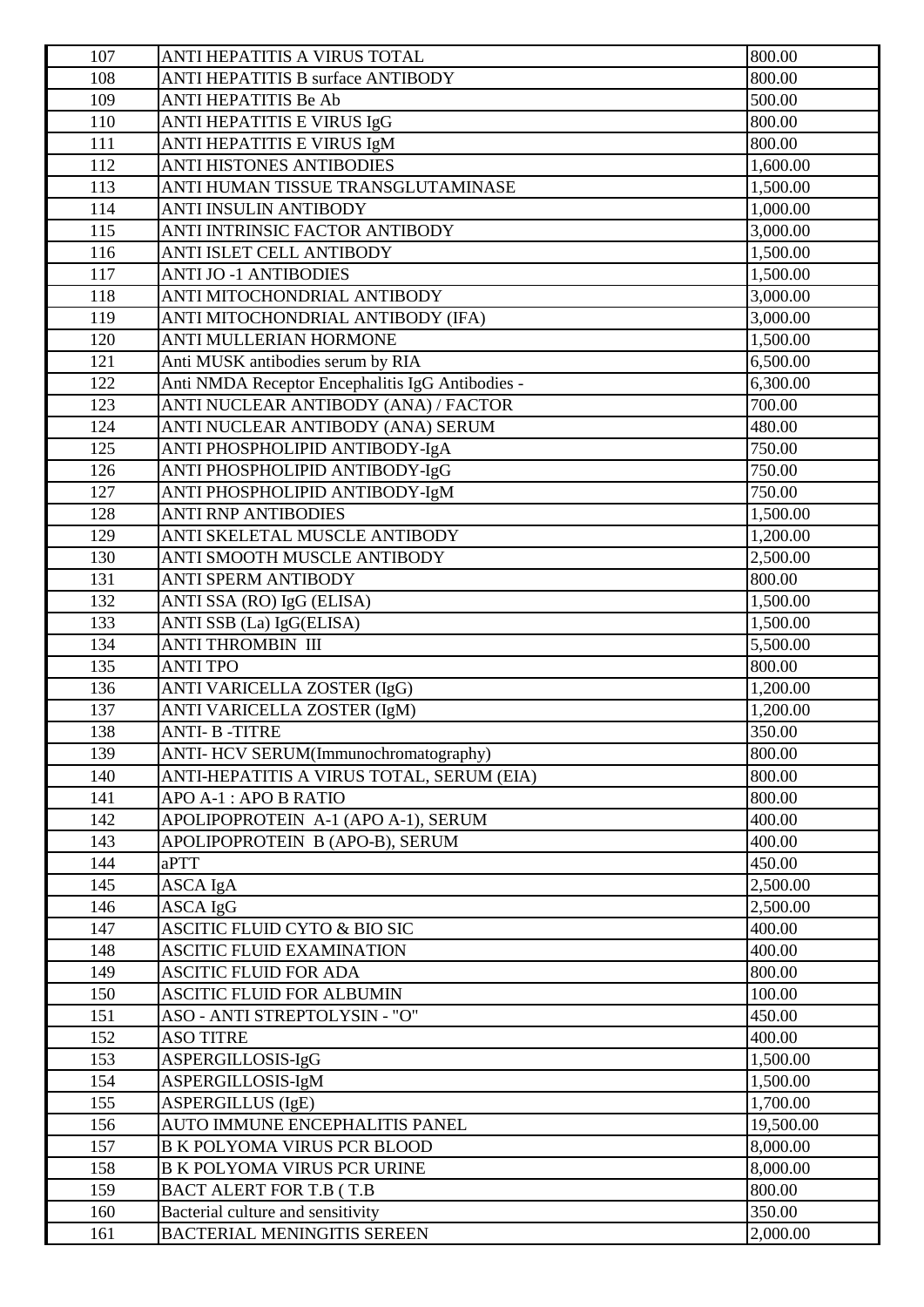| 107        | ANTI HEPATITIS A VIRUS TOTAL                       | 800.00             |
|------------|----------------------------------------------------|--------------------|
| 108        | <b>ANTI HEPATITIS B surface ANTIBODY</b>           | 800.00             |
| 109        | <b>ANTI HEPATITIS Be Ab</b>                        | 500.00             |
| 110        | ANTI HEPATITIS E VIRUS IgG                         | 800.00             |
| 111        | ANTI HEPATITIS E VIRUS IgM                         | 800.00             |
| 112        | <b>ANTI HISTONES ANTIBODIES</b>                    | 1,600.00           |
| 113        | ANTI HUMAN TISSUE TRANSGLUTAMINASE                 | 1,500.00           |
| 114        | <b>ANTI INSULIN ANTIBODY</b>                       | 1,000.00           |
| 115        | ANTI INTRINSIC FACTOR ANTIBODY                     | 3,000.00           |
| 116        | ANTI ISLET CELL ANTIBODY                           | 1,500.00           |
| 117        | <b>ANTI JO -1 ANTIBODIES</b>                       | 1,500.00           |
| 118        | ANTI MITOCHONDRIAL ANTIBODY                        | 3,000.00           |
| 119        | ANTI MITOCHONDRIAL ANTIBODY (IFA)                  | 3,000.00           |
| 120        | <b>ANTI MULLERIAN HORMONE</b>                      | 1,500.00           |
| 121        | Anti MUSK antibodies serum by RIA                  | 6,500.00           |
| 122        | Anti NMDA Receptor Encephalitis IgG Antibodies -   | 6,300.00           |
| 123        | ANTI NUCLEAR ANTIBODY (ANA) / FACTOR               | 700.00             |
| 124        | ANTI NUCLEAR ANTIBODY (ANA) SERUM                  | 480.00             |
| 125        | ANTI PHOSPHOLIPID ANTIBODY-IgA                     | 750.00             |
| 126        | ANTI PHOSPHOLIPID ANTIBODY-IgG                     | 750.00             |
| 127        | ANTI PHOSPHOLIPID ANTIBODY-IgM                     | 750.00             |
| 128        | <b>ANTI RNP ANTIBODIES</b>                         | 1,500.00           |
| 129        | ANTI SKELETAL MUSCLE ANTIBODY                      | 1,200.00           |
| 130        | ANTI SMOOTH MUSCLE ANTIBODY                        | 2,500.00           |
| 131        | <b>ANTI SPERM ANTIBODY</b>                         | 800.00             |
| 132        | ANTI SSA (RO) IgG (ELISA)                          | 1,500.00           |
| 133        | ANTI SSB (La) IgG(ELISA)                           | 1,500.00           |
| 134        | <b>ANTI THROMBIN III</b>                           | 5,500.00           |
| 135        | <b>ANTI TPO</b>                                    | 800.00             |
| 136        | ANTI VARICELLA ZOSTER (IgG)                        | 1,200.00           |
| 137        |                                                    |                    |
| 138        | ANTI VARICELLA ZOSTER (IgM)<br><b>ANTI-B-TITRE</b> | 1,200.00<br>350.00 |
|            |                                                    |                    |
| 139<br>140 | ANTI-HCV SERUM(Immunochromatography)               | 800.00<br>800.00   |
|            | ANTI-HEPATITIS A VIRUS TOTAL, SERUM (EIA)          |                    |
| 141        | APO A-1 : APO B RATIO                              | 800.00             |
| 142        | APOLIPOPROTEIN A-1 (APO A-1), SERUM                | 400.00             |
| 143        | APOLIPOPROTEIN B (APO-B), SERUM                    | 400.00             |
| 144        | aPTT                                               | 450.00             |
| 145        | ASCA IgA                                           | 2,500.00           |
| 146        | ASCA IgG                                           | 2,500.00           |
| 147        | ASCITIC FLUID CYTO & BIO SIC                       | 400.00             |
| 148        | <b>ASCITIC FLUID EXAMINATION</b>                   | 400.00             |
| 149        | <b>ASCITIC FLUID FOR ADA</b>                       | 800.00             |
| 150        | <b>ASCITIC FLUID FOR ALBUMIN</b>                   | 100.00             |
| 151        | ASO - ANTI STREPTOLYSIN - "O"                      | 450.00             |
| 152        | <b>ASO TITRE</b>                                   | 400.00             |
| 153        | ASPERGILLOSIS-IgG                                  | 1,500.00           |
| 154        | ASPERGILLOSIS-IgM                                  | 1,500.00           |
| 155        | ASPERGILLUS (IgE)                                  | 1,700.00           |
| 156        | AUTO IMMUNE ENCEPHALITIS PANEL                     | 19,500.00          |
| 157        | <b>B K POLYOMA VIRUS PCR BLOOD</b>                 | 8,000.00           |
| 158        | <b>B K POLYOMA VIRUS PCR URINE</b>                 | 8,000.00           |
| 159        | <b>BACT ALERT FOR T.B (T.B</b>                     | 800.00             |
| 160        | Bacterial culture and sensitivity                  | 350.00             |
| 161        | <b>BACTERIAL MENINGITIS SEREEN</b>                 | 2,000.00           |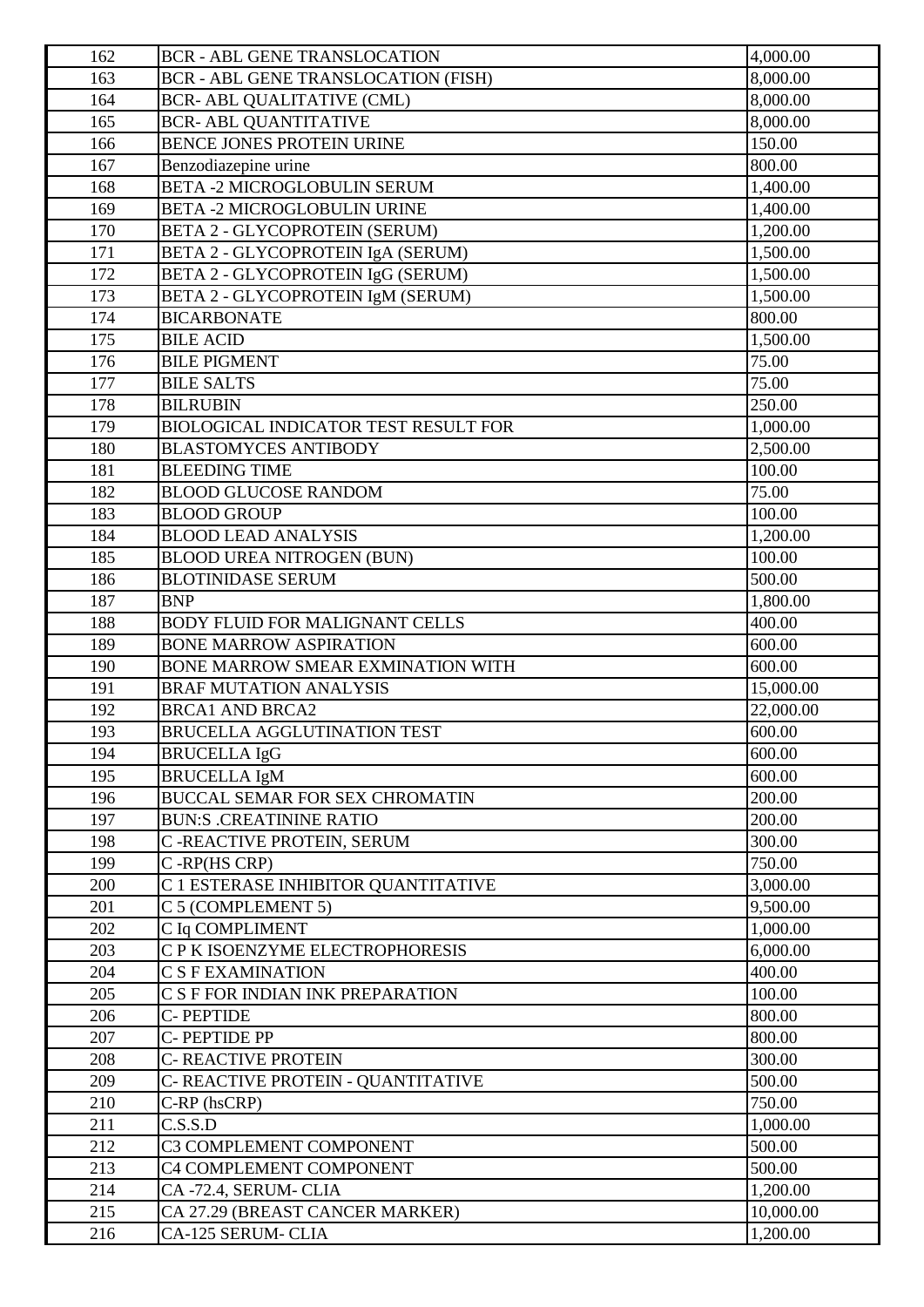| 162 | <b>BCR - ABL GENE TRANSLOCATION</b>         | 4,000.00  |
|-----|---------------------------------------------|-----------|
| 163 | <b>BCR - ABL GENE TRANSLOCATION (FISH)</b>  | 8,000.00  |
| 164 | <b>BCR- ABL QUALITATIVE (CML)</b>           | 8,000.00  |
| 165 | <b>BCR- ABL QUANTITATIVE</b>                | 8,000.00  |
| 166 | BENCE JONES PROTEIN URINE                   | 150.00    |
| 167 | Benzodiazepine urine                        | 800.00    |
| 168 | <b>BETA -2 MICROGLOBULIN SERUM</b>          | 1,400.00  |
| 169 | <b>BETA -2 MICROGLOBULIN URINE</b>          | 1,400.00  |
| 170 | <b>BETA 2 - GLYCOPROTEIN (SERUM)</b>        | 1,200.00  |
| 171 | BETA 2 - GLYCOPROTEIN IgA (SERUM)           | 1,500.00  |
| 172 | BETA 2 - GLYCOPROTEIN IgG (SERUM)           | 1,500.00  |
| 173 | BETA 2 - GLYCOPROTEIN IgM (SERUM)           | 1,500.00  |
| 174 | <b>BICARBONATE</b>                          | 800.00    |
| 175 | <b>BILE ACID</b>                            | 1,500.00  |
| 176 | <b>BILE PIGMENT</b>                         | 75.00     |
| 177 | <b>BILE SALTS</b>                           | 75.00     |
| 178 | <b>BILRUBIN</b>                             | 250.00    |
| 179 | <b>BIOLOGICAL INDICATOR TEST RESULT FOR</b> | 1,000.00  |
| 180 | <b>BLASTOMYCES ANTIBODY</b>                 | 2,500.00  |
| 181 | <b>BLEEDING TIME</b>                        | 100.00    |
| 182 | <b>BLOOD GLUCOSE RANDOM</b>                 | 75.00     |
| 183 | <b>BLOOD GROUP</b>                          | 100.00    |
| 184 | <b>BLOOD LEAD ANALYSIS</b>                  | 1,200.00  |
| 185 | <b>BLOOD UREA NITROGEN (BUN)</b>            | 100.00    |
| 186 | <b>BLOTINIDASE SERUM</b>                    | 500.00    |
| 187 | <b>BNP</b>                                  | 1,800.00  |
| 188 | <b>BODY FLUID FOR MALIGNANT CELLS</b>       | 400.00    |
| 189 | <b>BONE MARROW ASPIRATION</b>               | 600.00    |
| 190 | BONE MARROW SMEAR EXMINATION WITH           | 600.00    |
| 191 | <b>BRAF MUTATION ANALYSIS</b>               | 15,000.00 |
| 192 | <b>BRCA1 AND BRCA2</b>                      | 22,000.00 |
| 193 | <b>BRUCELLA AGGLUTINATION TEST</b>          | 600.00    |
| 194 | <b>BRUCELLA IgG</b>                         | 600.00    |
| 195 | <b>BRUCELLA IgM</b>                         | 600.00    |
| 196 | BUCCAL SEMAR FOR SEX CHROMATIN              | 200.00    |
| 197 |                                             |           |
|     | <b>BUN:S .CREATININE RATIO</b>              | 200.00    |
| 198 | C-REACTIVE PROTEIN, SERUM                   | 300.00    |
| 199 | C-RP(HS CRP)                                | 750.00    |
| 200 | C 1 ESTERASE INHIBITOR QUANTITATIVE         | 3,000.00  |
| 201 | C 5 (COMPLEMENT 5)                          | 9,500.00  |
| 202 | C Iq COMPLIMENT                             | 1,000.00  |
| 203 | C P K ISOENZYME ELECTROPHORESIS             | 6,000.00  |
| 204 | <b>C S F EXAMINATION</b>                    | 400.00    |
| 205 | C S F FOR INDIAN INK PREPARATION            | 100.00    |
| 206 | <b>C-PEPTIDE</b>                            | 800.00    |
| 207 | C-PEPTIDE PP                                | 800.00    |
| 208 | <b>C- REACTIVE PROTEIN</b>                  | 300.00    |
| 209 | C-REACTIVE PROTEIN - QUANTITATIVE           | 500.00    |
| 210 | C-RP (hsCRP)                                | 750.00    |
| 211 | C.S.S.D                                     | 1,000.00  |
| 212 | C3 COMPLEMENT COMPONENT                     | 500.00    |
| 213 | C4 COMPLEMENT COMPONENT                     | 500.00    |
| 214 | CA-72.4, SERUM- CLIA                        | 1,200.00  |
| 215 | CA 27.29 (BREAST CANCER MARKER)             | 10,000.00 |
| 216 | CA-125 SERUM- CLIA                          | 1,200.00  |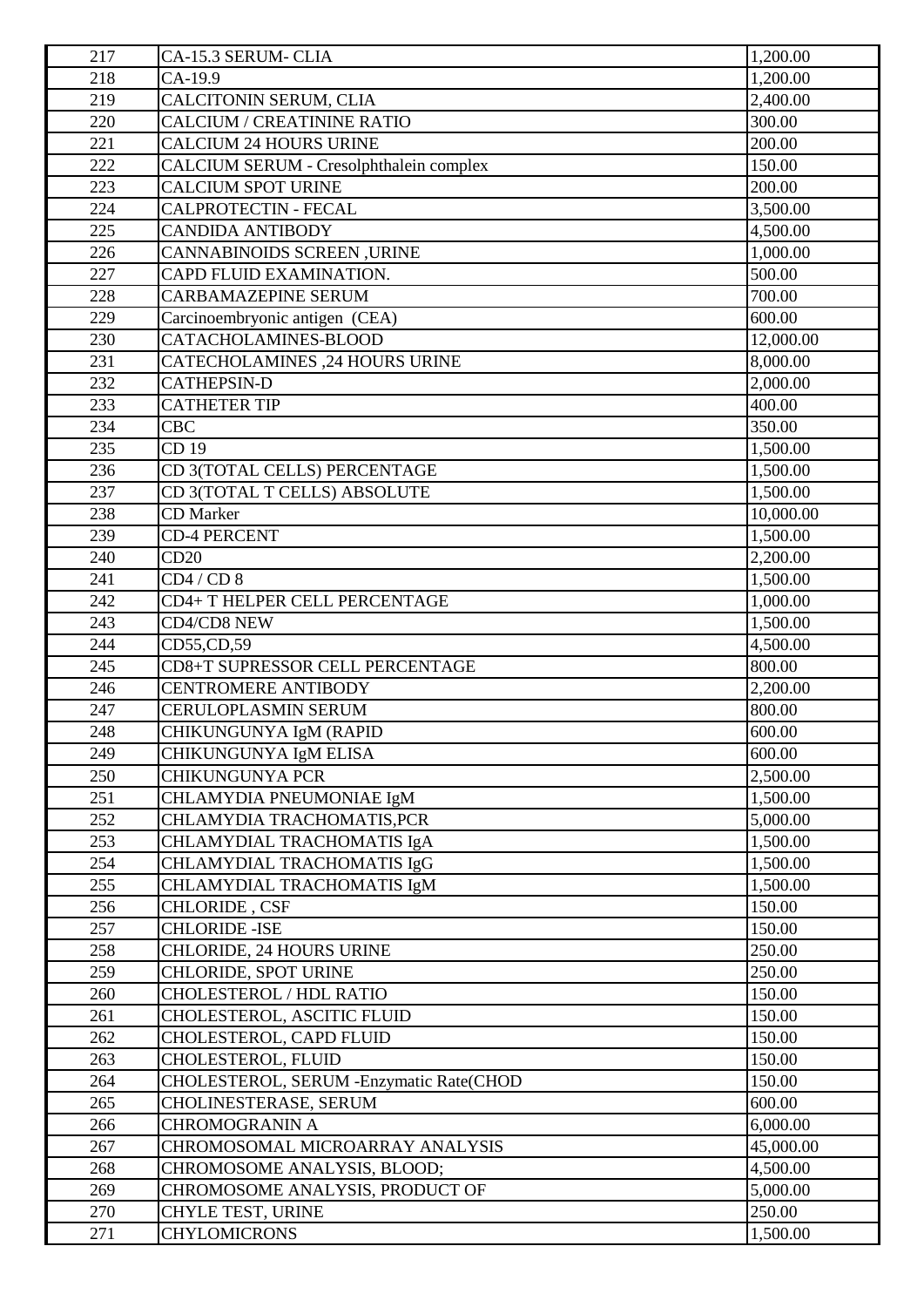| 217 | CA-15.3 SERUM- CLIA                            | 1,200.00  |
|-----|------------------------------------------------|-----------|
| 218 | CA-19.9                                        | 1,200.00  |
| 219 | CALCITONIN SERUM, CLIA                         | 2,400.00  |
| 220 | <b>CALCIUM / CREATININE RATIO</b>              | 300.00    |
| 221 | <b>CALCIUM 24 HOURS URINE</b>                  | 200.00    |
| 222 | <b>CALCIUM SERUM - Cresolphthalein complex</b> | 150.00    |
| 223 | <b>CALCIUM SPOT URINE</b>                      | 200.00    |
| 224 | <b>CALPROTECTIN - FECAL</b>                    | 3,500.00  |
| 225 | <b>CANDIDA ANTIBODY</b>                        | 4,500.00  |
| 226 | CANNABINOIDS SCREEN, URINE                     | 1,000.00  |
| 227 | CAPD FLUID EXAMINATION.                        | 500.00    |
| 228 | CARBAMAZEPINE SERUM                            | 700.00    |
| 229 | Carcinoembryonic antigen (CEA)                 | 600.00    |
| 230 | CATACHOLAMINES-BLOOD                           | 12,000.00 |
| 231 | <b>CATECHOLAMINES ,24 HOURS URINE</b>          | 8,000.00  |
| 232 | <b>CATHEPSIN-D</b>                             | 2,000.00  |
| 233 | <b>CATHETER TIP</b>                            | 400.00    |
| 234 | <b>CBC</b>                                     | 350.00    |
| 235 | CD 19                                          | 1,500.00  |
| 236 | CD 3(TOTAL CELLS) PERCENTAGE                   | 1,500.00  |
| 237 | CD 3(TOTAL T CELLS) ABSOLUTE                   | 1,500.00  |
| 238 | <b>CD</b> Marker                               | 10,000.00 |
| 239 | <b>CD-4 PERCENT</b>                            | 1,500.00  |
| 240 | CD20                                           | 2,200.00  |
| 241 | CD4 / CD 8                                     | 1,500.00  |
| 242 | CD4+ T HELPER CELL PERCENTAGE                  | 1,000.00  |
| 243 | CD4/CD8 NEW                                    | 1,500.00  |
| 244 | CD55,CD,59                                     | 4,500.00  |
| 245 | CD8+T SUPRESSOR CELL PERCENTAGE                | 800.00    |
| 246 | <b>CENTROMERE ANTIBODY</b>                     | 2,200.00  |
| 247 | <b>CERULOPLASMIN SERUM</b>                     | 800.00    |
| 248 | CHIKUNGUNYA IgM (RAPID                         | 600.00    |
| 249 | CHIKUNGUNYA IgM ELISA                          | 600.00    |
| 250 | CHIKUNGUNYA PCR                                | 2,500.00  |
| 251 | CHLAMYDIA PNEUMONIAE IgM                       | 1,500.00  |
| 252 | CHLAMYDIA TRACHOMATIS,PCR                      | 5,000.00  |
| 253 | CHLAMYDIAL TRACHOMATIS IgA                     | 1,500.00  |
| 254 | CHLAMYDIAL TRACHOMATIS IgG                     | 1,500.00  |
| 255 | CHLAMYDIAL TRACHOMATIS IgM                     | 1,500.00  |
| 256 | CHLORIDE, CSF                                  | 150.00    |
| 257 | <b>CHLORIDE - ISE</b>                          | 150.00    |
| 258 | CHLORIDE, 24 HOURS URINE                       | 250.00    |
| 259 | CHLORIDE, SPOT URINE                           | 250.00    |
| 260 | CHOLESTEROL / HDL RATIO                        | 150.00    |
| 261 | CHOLESTEROL, ASCITIC FLUID                     | 150.00    |
| 262 | CHOLESTEROL, CAPD FLUID                        | 150.00    |
| 263 | CHOLESTEROL, FLUID                             | 150.00    |
| 264 | CHOLESTEROL, SERUM - Enzymatic Rate(CHOD       | 150.00    |
| 265 | CHOLINESTERASE, SERUM                          | 600.00    |
| 266 | <b>CHROMOGRANIN A</b>                          | 6,000.00  |
| 267 | CHROMOSOMAL MICROARRAY ANALYSIS                | 45,000.00 |
| 268 | CHROMOSOME ANALYSIS, BLOOD;                    | 4,500.00  |
| 269 | CHROMOSOME ANALYSIS, PRODUCT OF                | 5,000.00  |
| 270 | CHYLE TEST, URINE                              | 250.00    |
| 271 | <b>CHYLOMICRONS</b>                            | 1,500.00  |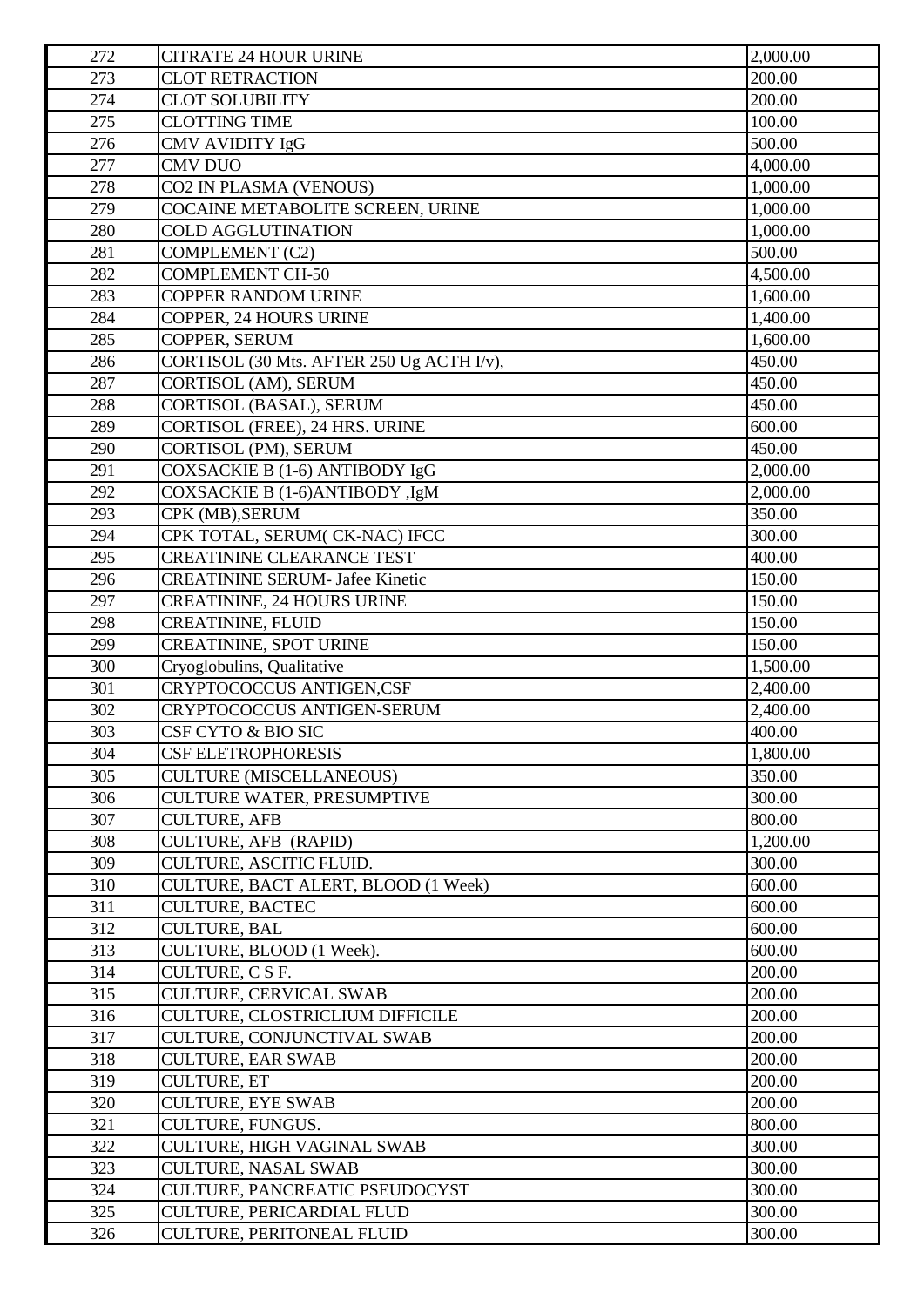| 272 | <b>CITRATE 24 HOUR URINE</b>              | 2,000.00 |
|-----|-------------------------------------------|----------|
| 273 | <b>CLOT RETRACTION</b>                    | 200.00   |
| 274 | <b>CLOT SOLUBILITY</b>                    | 200.00   |
| 275 | <b>CLOTTING TIME</b>                      | 100.00   |
| 276 | <b>CMV AVIDITY IgG</b>                    | 500.00   |
| 277 | <b>CMV DUO</b>                            | 4,000.00 |
| 278 | CO2 IN PLASMA (VENOUS)                    | 1,000.00 |
| 279 | COCAINE METABOLITE SCREEN, URINE          | 1,000.00 |
| 280 | <b>COLD AGGLUTINATION</b>                 | 1,000.00 |
| 281 | COMPLEMENT (C2)                           | 500.00   |
| 282 | <b>COMPLEMENT CH-50</b>                   | 4,500.00 |
| 283 | <b>COPPER RANDOM URINE</b>                | 1,600.00 |
| 284 | COPPER, 24 HOURS URINE                    | 1,400.00 |
| 285 | COPPER, SERUM                             | 1,600.00 |
| 286 | CORTISOL (30 Mts. AFTER 250 Ug ACTH I/v), | 450.00   |
| 287 | CORTISOL (AM), SERUM                      | 450.00   |
| 288 | CORTISOL (BASAL), SERUM                   | 450.00   |
| 289 | CORTISOL (FREE), 24 HRS. URINE            | 600.00   |
| 290 | CORTISOL (PM), SERUM                      | 450.00   |
| 291 | COXSACKIE B (1-6) ANTIBODY IgG            | 2,000.00 |
| 292 | COXSACKIE B (1-6)ANTIBODY , IgM           | 2,000.00 |
| 293 | CPK (MB), SERUM                           | 350.00   |
| 294 | CPK TOTAL, SERUM( CK-NAC) IFCC            | 300.00   |
| 295 | <b>CREATININE CLEARANCE TEST</b>          | 400.00   |
| 296 | <b>CREATININE SERUM- Jafee Kinetic</b>    | 150.00   |
| 297 | <b>CREATININE, 24 HOURS URINE</b>         | 150.00   |
| 298 | <b>CREATININE, FLUID</b>                  | 150.00   |
| 299 | <b>CREATININE, SPOT URINE</b>             | 150.00   |
| 300 | Cryoglobulins, Qualitative                | 1,500.00 |
| 301 | CRYPTOCOCCUS ANTIGEN,CSF                  | 2,400.00 |
| 302 | CRYPTOCOCCUS ANTIGEN-SERUM                | 2,400.00 |
| 303 | CSF CYTO & BIO SIC                        | 400.00   |
| 304 | <b>CSF ELETROPHORESIS</b>                 | 1,800.00 |
| 305 | <b>CULTURE (MISCELLANEOUS)</b>            | 350.00   |
| 306 | <b>CULTURE WATER, PRESUMPTIVE</b>         | 300.00   |
| 307 | <b>CULTURE, AFB</b>                       | 800.00   |
| 308 | CULTURE, AFB (RAPID)                      | 1,200.00 |
| 309 | <b>CULTURE, ASCITIC FLUID.</b>            | 300.00   |
| 310 | CULTURE, BACT ALERT, BLOOD (1 Week)       | 600.00   |
| 311 | <b>CULTURE, BACTEC</b>                    | 600.00   |
| 312 | <b>CULTURE, BAL</b>                       | 600.00   |
| 313 | CULTURE, BLOOD (1 Week).                  | 600.00   |
| 314 | <b>CULTURE, C S F.</b>                    | 200.00   |
| 315 | <b>CULTURE, CERVICAL SWAB</b>             | 200.00   |
| 316 | CULTURE, CLOSTRICLIUM DIFFICILE           | 200.00   |
| 317 | CULTURE, CONJUNCTIVAL SWAB                | 200.00   |
| 318 | <b>CULTURE, EAR SWAB</b>                  | 200.00   |
| 319 | <b>CULTURE, ET</b>                        | 200.00   |
| 320 | <b>CULTURE, EYE SWAB</b>                  | 200.00   |
| 321 | CULTURE, FUNGUS.                          | 800.00   |
| 322 | <b>CULTURE, HIGH VAGINAL SWAB</b>         | 300.00   |
| 323 | <b>CULTURE, NASAL SWAB</b>                | 300.00   |
| 324 | CULTURE, PANCREATIC PSEUDOCYST            | 300.00   |
| 325 | <b>CULTURE, PERICARDIAL FLUD</b>          | 300.00   |
| 326 | <b>CULTURE, PERITONEAL FLUID</b>          | 300.00   |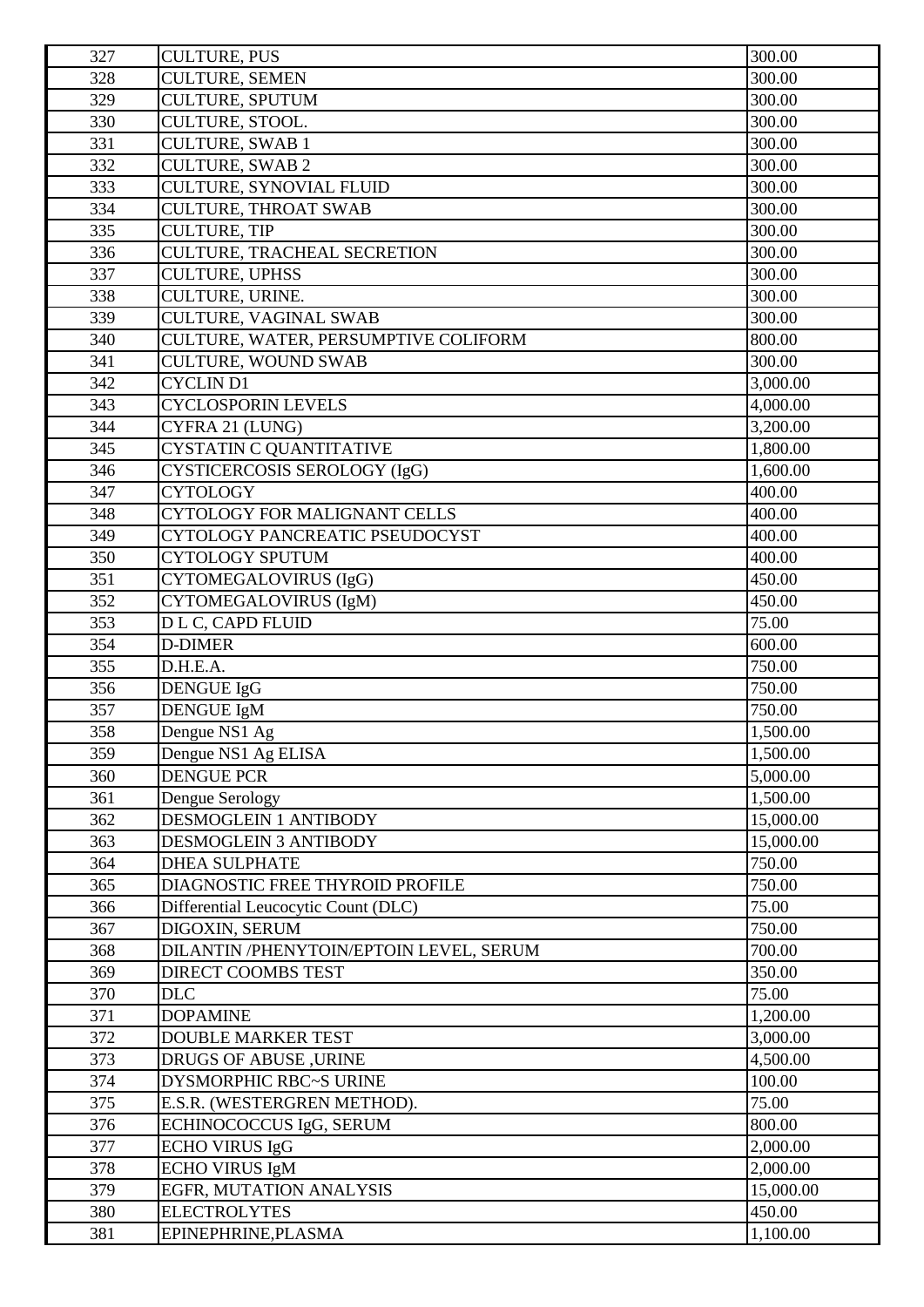| 327 | <b>CULTURE, PUS</b>                      | 300.00    |
|-----|------------------------------------------|-----------|
| 328 | <b>CULTURE, SEMEN</b>                    | 300.00    |
| 329 | <b>CULTURE, SPUTUM</b>                   | 300.00    |
| 330 | CULTURE, STOOL.                          | 300.00    |
| 331 | <b>CULTURE, SWAB 1</b>                   | 300.00    |
| 332 | <b>CULTURE, SWAB 2</b>                   | 300.00    |
| 333 | <b>CULTURE, SYNOVIAL FLUID</b>           | 300.00    |
| 334 | <b>CULTURE, THROAT SWAB</b>              | 300.00    |
| 335 | <b>CULTURE, TIP</b>                      | 300.00    |
| 336 | CULTURE, TRACHEAL SECRETION              | 300.00    |
| 337 | <b>CULTURE, UPHSS</b>                    | 300.00    |
| 338 | <b>CULTURE, URINE.</b>                   | 300.00    |
| 339 | <b>CULTURE, VAGINAL SWAB</b>             | 300.00    |
| 340 | CULTURE, WATER, PERSUMPTIVE COLIFORM     | 800.00    |
| 341 | <b>CULTURE, WOUND SWAB</b>               | 300.00    |
| 342 | <b>CYCLIN D1</b>                         | 3,000.00  |
| 343 | <b>CYCLOSPORIN LEVELS</b>                | 4,000.00  |
| 344 | CYFRA 21 (LUNG)                          | 3,200.00  |
| 345 | CYSTATIN C QUANTITATIVE                  | 1,800.00  |
| 346 | CYSTICERCOSIS SEROLOGY (IgG)             | 1,600.00  |
| 347 | <b>CYTOLOGY</b>                          | 400.00    |
| 348 | CYTOLOGY FOR MALIGNANT CELLS             | 400.00    |
| 349 | CYTOLOGY PANCREATIC PSEUDOCYST           | 400.00    |
| 350 | <b>CYTOLOGY SPUTUM</b>                   | 400.00    |
| 351 | <b>CYTOMEGALOVIRUS (IgG)</b>             | 450.00    |
| 352 | CYTOMEGALOVIRUS (IgM)                    | 450.00    |
| 353 | D L C, CAPD FLUID                        | 75.00     |
| 354 | <b>D-DIMER</b>                           | 600.00    |
| 355 | D.H.E.A.                                 | 750.00    |
| 356 | <b>DENGUE IgG</b>                        | 750.00    |
| 357 | <b>DENGUE IgM</b>                        | 750.00    |
| 358 | Dengue NS1 Ag                            | 1,500.00  |
| 359 | Dengue NS1 Ag ELISA                      | 1,500.00  |
| 360 | <b>DENGUE PCR</b>                        | 5,000.00  |
| 361 | Dengue Serology                          | 1,500.00  |
| 362 | <b>DESMOGLEIN 1 ANTIBODY</b>             | 15,000.00 |
| 363 | DESMOGLEIN 3 ANTIBODY                    | 15,000.00 |
| 364 | <b>DHEA SULPHATE</b>                     | 750.00    |
| 365 | DIAGNOSTIC FREE THYROID PROFILE          | 750.00    |
| 366 | Differential Leucocytic Count (DLC)      | 75.00     |
| 367 | DIGOXIN, SERUM                           | 750.00    |
| 368 | DILANTIN / PHENYTOIN/EPTOIN LEVEL, SERUM | 700.00    |
| 369 | <b>DIRECT COOMBS TEST</b>                | 350.00    |
| 370 | <b>DLC</b>                               | 75.00     |
| 371 | <b>DOPAMINE</b>                          | 1,200.00  |
| 372 | <b>DOUBLE MARKER TEST</b>                | 3,000.00  |
| 373 | DRUGS OF ABUSE, URINE                    | 4,500.00  |
| 374 | <b>DYSMORPHIC RBC~S URINE</b>            | 100.00    |
| 375 | E.S.R. (WESTERGREN METHOD).              | 75.00     |
| 376 | ECHINOCOCCUS IgG, SERUM                  | 800.00    |
| 377 | <b>ECHO VIRUS IgG</b>                    | 2,000.00  |
| 378 | <b>ECHO VIRUS IgM</b>                    | 2,000.00  |
| 379 | EGFR, MUTATION ANALYSIS                  | 15,000.00 |
| 380 | <b>ELECTROLYTES</b>                      | 450.00    |
| 381 | EPINEPHRINE, PLASMA                      | 1,100.00  |
|     |                                          |           |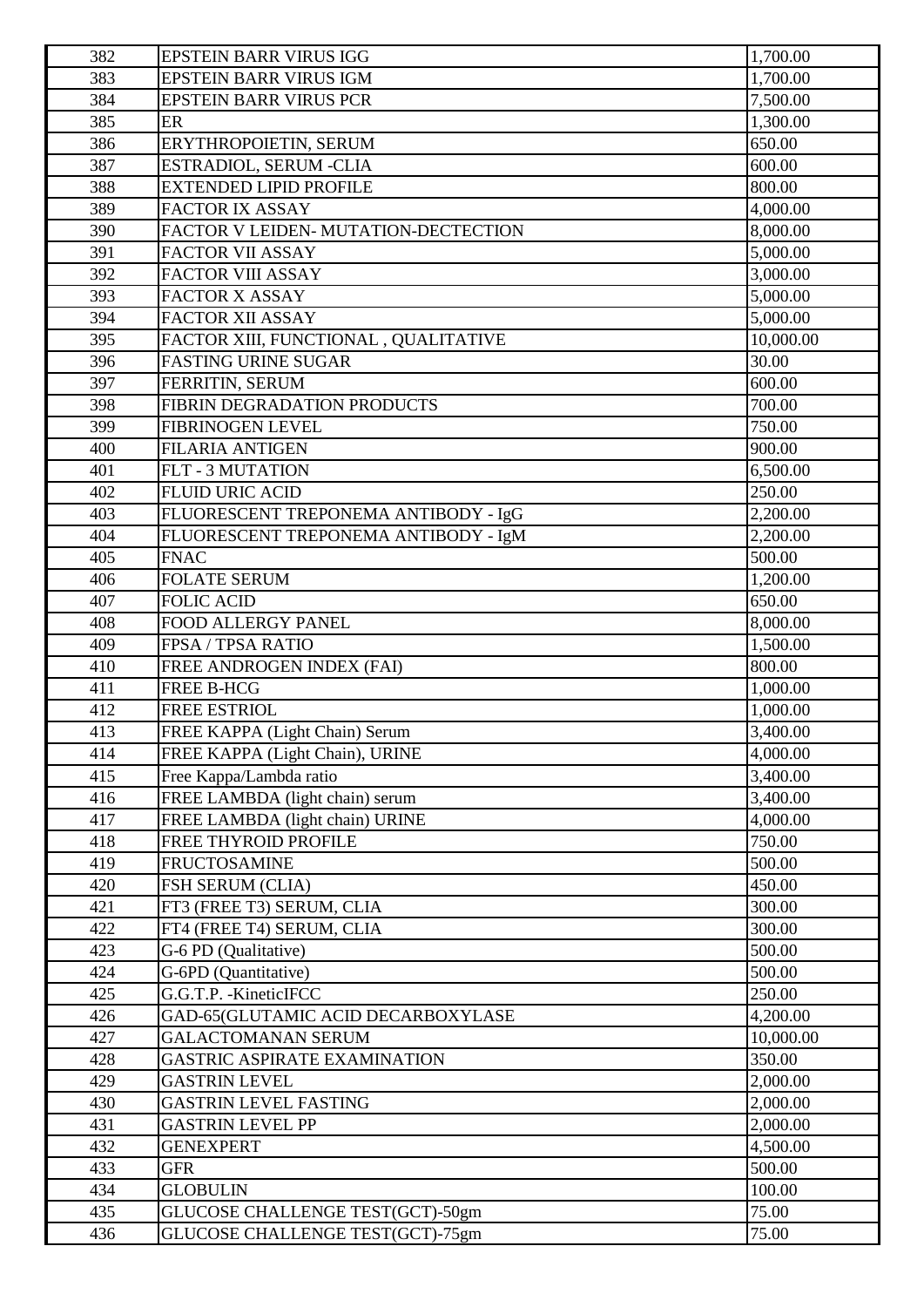| 382 | <b>EPSTEIN BARR VIRUS IGG</b>        | 1,700.00  |
|-----|--------------------------------------|-----------|
| 383 | EPSTEIN BARR VIRUS IGM               | 1,700.00  |
| 384 | <b>EPSTEIN BARR VIRUS PCR</b>        | 7,500.00  |
| 385 | ER                                   | 1,300.00  |
| 386 | ERYTHROPOIETIN, SERUM                | 650.00    |
| 387 | ESTRADIOL, SERUM -CLIA               | 600.00    |
| 388 | EXTENDED LIPID PROFILE               | 800.00    |
| 389 | <b>FACTOR IX ASSAY</b>               | 4,000.00  |
| 390 | FACTOR V LEIDEN- MUTATION-DECTECTION | 8,000.00  |
| 391 | <b>FACTOR VII ASSAY</b>              | 5,000.00  |
| 392 | <b>FACTOR VIII ASSAY</b>             | 3,000.00  |
| 393 | <b>FACTOR X ASSAY</b>                | 5,000.00  |
| 394 | <b>FACTOR XII ASSAY</b>              | 5,000.00  |
| 395 | FACTOR XIII, FUNCTIONAL, QUALITATIVE | 10,000.00 |
| 396 | <b>FASTING URINE SUGAR</b>           | 30.00     |
| 397 | FERRITIN, SERUM                      | 600.00    |
| 398 | FIBRIN DEGRADATION PRODUCTS          | 700.00    |
| 399 | <b>FIBRINOGEN LEVEL</b>              | 750.00    |
| 400 | <b>FILARIA ANTIGEN</b>               | 900.00    |
| 401 | <b>FLT - 3 MUTATION</b>              | 6,500.00  |
| 402 | <b>FLUID URIC ACID</b>               | 250.00    |
| 403 | FLUORESCENT TREPONEMA ANTIBODY - IgG | 2,200.00  |
| 404 | FLUORESCENT TREPONEMA ANTIBODY - IgM | 2,200.00  |
| 405 | <b>FNAC</b>                          | 500.00    |
| 406 | <b>FOLATE SERUM</b>                  | 1,200.00  |
| 407 | <b>FOLIC ACID</b>                    | 650.00    |
| 408 | FOOD ALLERGY PANEL                   | 8,000.00  |
| 409 | FPSA / TPSA RATIO                    | 1,500.00  |
| 410 | FREE ANDROGEN INDEX (FAI)            | 800.00    |
| 411 | <b>FREE B-HCG</b>                    | 1,000.00  |
| 412 | <b>FREE ESTRIOL</b>                  | 1,000.00  |
| 413 | FREE KAPPA (Light Chain) Serum       | 3,400.00  |
| 414 | FREE KAPPA (Light Chain), URINE      | 4,000.00  |
| 415 | Free Kappa/Lambda ratio              | 3,400.00  |
| 416 | FREE LAMBDA (light chain) serum      | 3,400.00  |
| 417 | FREE LAMBDA (light chain) URINE      | 4,000.00  |
| 418 | <b>FREE THYROID PROFILE</b>          | 750.00    |
| 419 | <b>FRUCTOSAMINE</b>                  | 500.00    |
| 420 | FSH SERUM (CLIA)                     | 450.00    |
| 421 | FT3 (FREE T3) SERUM, CLIA            | 300.00    |
| 422 | FT4 (FREE T4) SERUM, CLIA            | 300.00    |
| 423 | G-6 PD (Qualitative)                 | 500.00    |
| 424 | G-6PD (Quantitative)                 | 500.00    |
| 425 | G.G.T.P. - KineticIFCC               | 250.00    |
| 426 | GAD-65(GLUTAMIC ACID DECARBOXYLASE   | 4,200.00  |
| 427 | <b>GALACTOMANAN SERUM</b>            | 10,000.00 |
| 428 | <b>GASTRIC ASPIRATE EXAMINATION</b>  | 350.00    |
| 429 | <b>GASTRIN LEVEL</b>                 | 2,000.00  |
| 430 | <b>GASTRIN LEVEL FASTING</b>         | 2,000.00  |
| 431 | <b>GASTRIN LEVEL PP</b>              | 2,000.00  |
| 432 | <b>GENEXPERT</b>                     | 4,500.00  |
| 433 | <b>GFR</b>                           | 500.00    |
| 434 | <b>GLOBULIN</b>                      | 100.00    |
| 435 | GLUCOSE CHALLENGE TEST(GCT)-50gm     | 75.00     |
| 436 | GLUCOSE CHALLENGE TEST(GCT)-75gm     | 75.00     |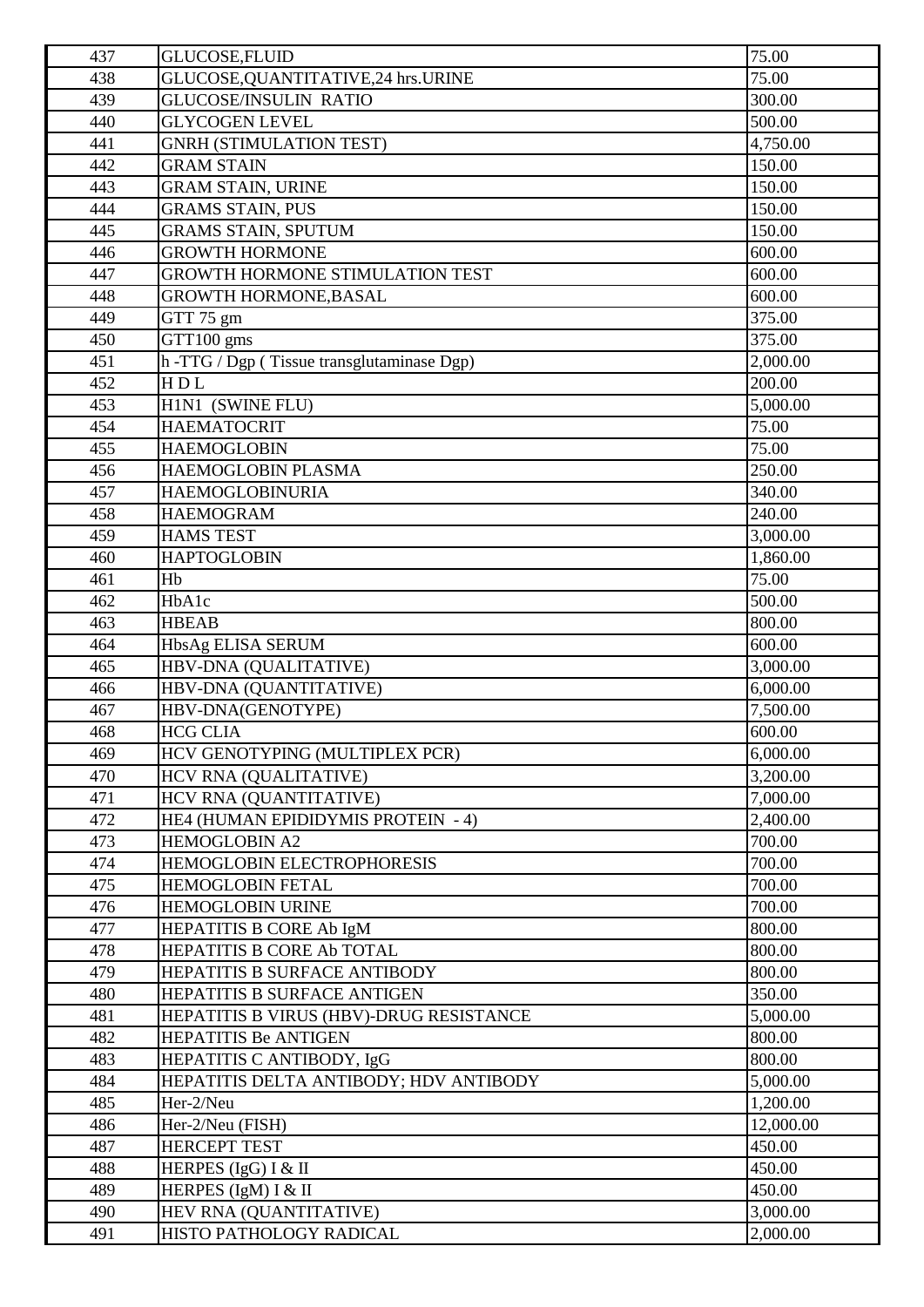| 437 | <b>GLUCOSE.FLUID</b>                      | 75.00     |
|-----|-------------------------------------------|-----------|
| 438 | GLUCOSE, QUANTITATIVE, 24 hrs. URINE      | 75.00     |
| 439 | <b>GLUCOSE/INSULIN RATIO</b>              | 300.00    |
| 440 | <b>GLYCOGEN LEVEL</b>                     | 500.00    |
| 441 | <b>GNRH (STIMULATION TEST)</b>            | 4,750.00  |
| 442 | <b>GRAM STAIN</b>                         | 150.00    |
| 443 | <b>GRAM STAIN, URINE</b>                  | 150.00    |
| 444 | <b>GRAMS STAIN, PUS</b>                   | 150.00    |
| 445 | <b>GRAMS STAIN, SPUTUM</b>                | 150.00    |
| 446 | <b>GROWTH HORMONE</b>                     | 600.00    |
| 447 | GROWTH HORMONE STIMULATION TEST           | 600.00    |
| 448 | <b>GROWTH HORMONE, BASAL</b>              | 600.00    |
| 449 | GTT 75 gm                                 | 375.00    |
| 450 | GTT100 gms                                | 375.00    |
| 451 | h-TTG / Dgp (Tissue transglutaminase Dgp) | 2,000.00  |
| 452 | HDL                                       | 200.00    |
| 453 | HIN1 (SWINE FLU)                          | 5,000.00  |
| 454 | <b>HAEMATOCRIT</b>                        | 75.00     |
| 455 | <b>HAEMOGLOBIN</b>                        | 75.00     |
| 456 | <b>HAEMOGLOBIN PLASMA</b>                 | 250.00    |
| 457 | <b>HAEMOGLOBINURIA</b>                    | 340.00    |
| 458 | <b>HAEMOGRAM</b>                          | 240.00    |
| 459 | <b>HAMS TEST</b>                          | 3,000.00  |
| 460 | <b>HAPTOGLOBIN</b>                        | 1,860.00  |
| 461 | Hb                                        | 75.00     |
| 462 | HbA1c                                     | 500.00    |
| 463 | <b>HBEAB</b>                              | 800.00    |
| 464 | HbsAg ELISA SERUM                         | 600.00    |
| 465 | HBV-DNA (QUALITATIVE)                     | 3,000.00  |
| 466 | HBV-DNA (QUANTITATIVE)                    | 6,000.00  |
| 467 | HBV-DNA(GENOTYPE)                         | 7,500.00  |
| 468 | <b>HCG CLIA</b>                           | 600.00    |
| 469 | HCV GENOTYPING (MULTIPLEX PCR)            | 6,000.00  |
| 470 | <b>HCV RNA (QUALITATIVE)</b>              | 3,200.00  |
| 471 | HCV RNA (QUANTITATIVE)                    | 7,000.00  |
| 472 | HE4 (HUMAN EPIDIDYMIS PROTEIN - 4)        | 2,400.00  |
| 473 | <b>HEMOGLOBIN A2</b>                      | 700.00    |
| 474 | HEMOGLOBIN ELECTROPHORESIS                | 700.00    |
| 475 | <b>HEMOGLOBIN FETAL</b>                   | 700.00    |
| 476 | <b>HEMOGLOBIN URINE</b>                   | 700.00    |
| 477 | HEPATITIS B CORE Ab IgM                   | 800.00    |
| 478 | <b>HEPATITIS B CORE Ab TOTAL</b>          | 800.00    |
| 479 | HEPATITIS B SURFACE ANTIBODY              | 800.00    |
| 480 | HEPATITIS B SURFACE ANTIGEN               | 350.00    |
| 481 | HEPATITIS B VIRUS (HBV)-DRUG RESISTANCE   | 5,000.00  |
| 482 | <b>HEPATITIS Be ANTIGEN</b>               | 800.00    |
| 483 | HEPATITIS C ANTIBODY, IgG                 | 800.00    |
| 484 | HEPATITIS DELTA ANTIBODY; HDV ANTIBODY    | 5,000.00  |
| 485 | Her-2/Neu                                 | 1,200.00  |
| 486 | Her-2/Neu (FISH)                          | 12,000.00 |
| 487 | <b>HERCEPT TEST</b>                       | 450.00    |
| 488 | HERPES $(IgG)$ I & II                     | 450.00    |
| 489 | HERPES (IgM) I & II                       | 450.00    |
| 490 | HEV RNA (QUANTITATIVE)                    | 3,000.00  |
| 491 | HISTO PATHOLOGY RADICAL                   | 2,000.00  |
|     |                                           |           |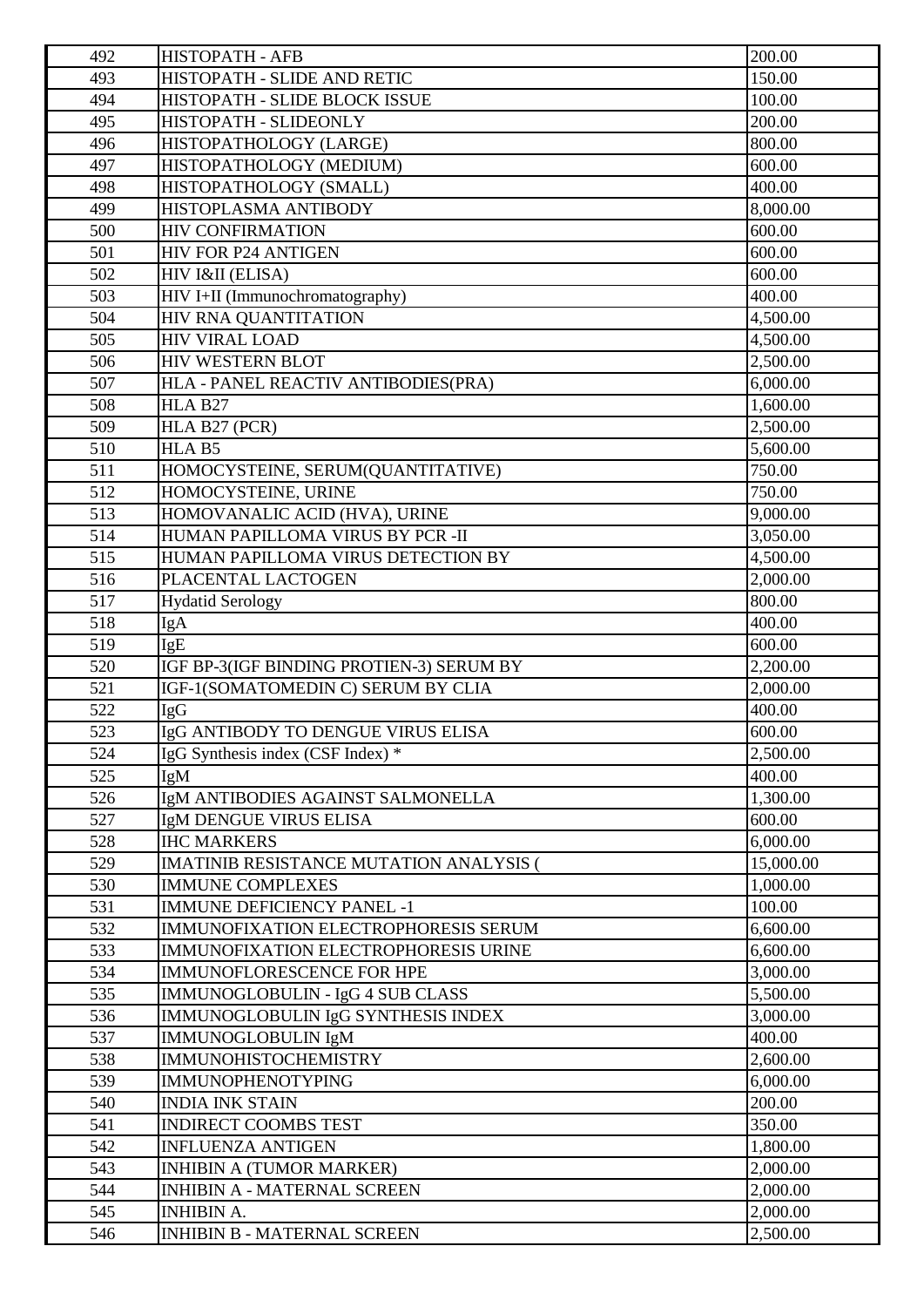| 492 | <b>HISTOPATH - AFB</b>                         | 200.00    |
|-----|------------------------------------------------|-----------|
| 493 | HISTOPATH - SLIDE AND RETIC                    | 150.00    |
| 494 | HISTOPATH - SLIDE BLOCK ISSUE                  | 100.00    |
| 495 | HISTOPATH - SLIDEONLY                          | 200.00    |
| 496 | HISTOPATHOLOGY (LARGE)                         | 800.00    |
| 497 | HISTOPATHOLOGY (MEDIUM)                        | 600.00    |
| 498 | HISTOPATHOLOGY (SMALL)                         | 400.00    |
| 499 | HISTOPLASMA ANTIBODY                           | 8,000.00  |
| 500 | <b>HIV CONFIRMATION</b>                        | 600.00    |
| 501 | <b>HIV FOR P24 ANTIGEN</b>                     | 600.00    |
| 502 | HIV I&II (ELISA)                               | 600.00    |
| 503 | HIV I+II (Immunochromatography)                | 400.00    |
| 504 | HIV RNA QUANTITATION                           | 4,500.00  |
| 505 | <b>HIV VIRAL LOAD</b>                          | 4,500.00  |
| 506 | <b>HIV WESTERN BLOT</b>                        | 2,500.00  |
| 507 | HLA - PANEL REACTIV ANTIBODIES(PRA)            | 6,000.00  |
| 508 | <b>HLA B27</b>                                 | 1,600.00  |
| 509 | HLA B27 (PCR)                                  | 2,500.00  |
| 510 | HLA <sub>B5</sub>                              | 5,600.00  |
| 511 | HOMOCYSTEINE, SERUM(QUANTITATIVE)              | 750.00    |
| 512 | HOMOCYSTEINE, URINE                            | 750.00    |
| 513 | HOMOVANALIC ACID (HVA), URINE                  | 9,000.00  |
| 514 | HUMAN PAPILLOMA VIRUS BY PCR -II               | 3,050.00  |
| 515 | HUMAN PAPILLOMA VIRUS DETECTION BY             | 4,500.00  |
| 516 | PLACENTAL LACTOGEN                             | 2,000.00  |
| 517 | <b>Hydatid Serology</b>                        | 800.00    |
| 518 | IgA                                            | 400.00    |
| 519 | IgE                                            | 600.00    |
| 520 | IGF BP-3(IGF BINDING PROTIEN-3) SERUM BY       | 2,200.00  |
| 521 | IGF-1(SOMATOMEDIN C) SERUM BY CLIA             | 2,000.00  |
| 522 | IgG                                            | 400.00    |
| 523 | IgG ANTIBODY TO DENGUE VIRUS ELISA             | 600.00    |
| 524 | IgG Synthesis index (CSF Index) *              | 2,500.00  |
| 525 | IgM                                            | 400.00    |
| 526 | IgM ANTIBODIES AGAINST SALMONELLA              | 1,300.00  |
| 527 | IgM DENGUE VIRUS ELISA                         | 600.00    |
| 528 | <b>IHC MARKERS</b>                             | 6,000.00  |
| 529 | <b>IMATINIB RESISTANCE MUTATION ANALYSIS (</b> | 15,000.00 |
| 530 | <b>IMMUNE COMPLEXES</b>                        | 1,000.00  |
| 531 | <b>IMMUNE DEFICIENCY PANEL -1</b>              | 100.00    |
| 532 | IMMUNOFIXATION ELECTROPHORESIS SERUM           | 6,600.00  |
| 533 | <b>IMMUNOFIXATION ELECTROPHORESIS URINE</b>    | 6,600.00  |
| 534 | <b>IMMUNOFLORESCENCE FOR HPE</b>               | 3,000.00  |
| 535 | <b>IMMUNOGLOBULIN - IgG 4 SUB CLASS</b>        | 5,500.00  |
| 536 | IMMUNOGLOBULIN IgG SYNTHESIS INDEX             | 3,000.00  |
| 537 | <b>IMMUNOGLOBULIN IgM</b>                      | 400.00    |
| 538 | <b>IMMUNOHISTOCHEMISTRY</b>                    | 2,600.00  |
| 539 | <b>IMMUNOPHENOTYPING</b>                       | 6,000.00  |
| 540 | <b>INDIA INK STAIN</b>                         | 200.00    |
| 541 | <b>INDIRECT COOMBS TEST</b>                    | 350.00    |
| 542 | <b>INFLUENZA ANTIGEN</b>                       | 1,800.00  |
| 543 | <b>INHIBIN A (TUMOR MARKER)</b>                | 2,000.00  |
| 544 | <b>INHIBIN A - MATERNAL SCREEN</b>             | 2,000.00  |
| 545 | <b>INHIBIN A.</b>                              | 2,000.00  |
| 546 | <b>INHIBIN B - MATERNAL SCREEN</b>             | 2,500.00  |
|     |                                                |           |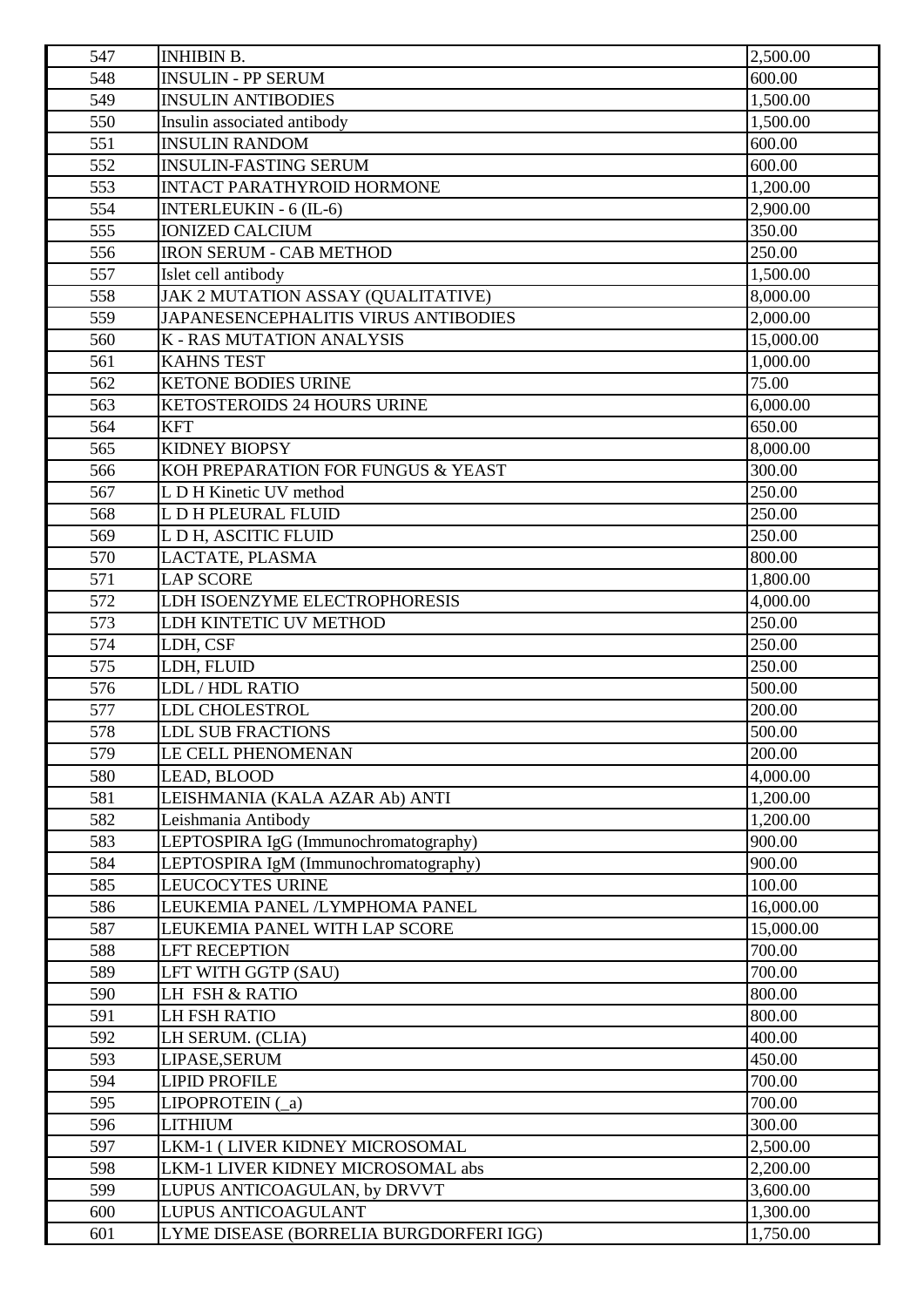| 547 | <b>INHIBIN B.</b>                        | 2,500.00  |
|-----|------------------------------------------|-----------|
| 548 | <b>INSULIN - PP SERUM</b>                | 600.00    |
| 549 | <b>INSULIN ANTIBODIES</b>                | 1,500.00  |
| 550 | Insulin associated antibody              | 1,500.00  |
| 551 | <b>INSULIN RANDOM</b>                    | 600.00    |
| 552 | <b>INSULIN-FASTING SERUM</b>             | 600.00    |
| 553 | <b>INTACT PARATHYROID HORMONE</b>        | 1,200.00  |
| 554 | INTERLEUKIN - 6 (IL-6)                   | 2,900.00  |
| 555 | <b>IONIZED CALCIUM</b>                   | 350.00    |
| 556 | <b>IRON SERUM - CAB METHOD</b>           | 250.00    |
| 557 | Islet cell antibody                      | 1,500.00  |
| 558 | JAK 2 MUTATION ASSAY (QUALITATIVE)       | 8,000.00  |
| 559 | JAPANESENCEPHALITIS VIRUS ANTIBODIES     | 2,000.00  |
| 560 | <b>K-RAS MUTATION ANALYSIS</b>           | 15,000.00 |
| 561 | <b>KAHNS TEST</b>                        | 1,000.00  |
| 562 | <b>KETONE BODIES URINE</b>               | 75.00     |
| 563 | KETOSTEROIDS 24 HOURS URINE              | 6,000.00  |
| 564 | <b>KFT</b>                               | 650.00    |
| 565 | <b>KIDNEY BIOPSY</b>                     | 8,000.00  |
| 566 | KOH PREPARATION FOR FUNGUS & YEAST       | 300.00    |
| 567 | L D H Kinetic UV method                  | 250.00    |
| 568 | L D H PLEURAL FLUID                      | 250.00    |
| 569 | L D H, ASCITIC FLUID                     | 250.00    |
| 570 | LACTATE, PLASMA                          | 800.00    |
| 571 | <b>LAP SCORE</b>                         | 1,800.00  |
| 572 | LDH ISOENZYME ELECTROPHORESIS            | 4,000.00  |
| 573 | LDH KINTETIC UV METHOD                   | 250.00    |
| 574 | LDH, CSF                                 | 250.00    |
| 575 | LDH, FLUID                               | 250.00    |
| 576 | LDL / HDL RATIO                          | 500.00    |
| 577 | LDL CHOLESTROL                           | 200.00    |
| 578 | <b>LDL SUB FRACTIONS</b>                 | 500.00    |
| 579 | LE CELL PHENOMENAN                       | 200.00    |
| 580 | LEAD, BLOOD                              | 4,000.00  |
| 581 | LEISHMANIA (KALA AZAR Ab) ANTI           | 1,200.00  |
| 582 | Leishmania Antibody                      | 1,200.00  |
| 583 | LEPTOSPIRA IgG (Immunochromatography)    | 900.00    |
| 584 | LEPTOSPIRA IgM (Immunochromatography)    | 900.00    |
| 585 | LEUCOCYTES URINE                         | 100.00    |
| 586 | LEUKEMIA PANEL /LYMPHOMA PANEL           | 16,000.00 |
| 587 | LEUKEMIA PANEL WITH LAP SCORE            | 15,000.00 |
| 588 | <b>LFT RECEPTION</b>                     | 700.00    |
| 589 | LFT WITH GGTP (SAU)                      | 700.00    |
| 590 | LH FSH & RATIO                           | 800.00    |
| 591 | LH FSH RATIO                             | 800.00    |
| 592 | LH SERUM. (CLIA)                         | 400.00    |
| 593 | LIPASE, SERUM                            | 450.00    |
| 594 | <b>LIPID PROFILE</b>                     | 700.00    |
| 595 | LIPOPROTEIN $(a)$                        | 700.00    |
| 596 | <b>LITHIUM</b>                           | 300.00    |
| 597 | LKM-1 ( LIVER KIDNEY MICROSOMAL          | 2,500.00  |
| 598 | <b>LKM-1 LIVER KIDNEY MICROSOMAL abs</b> | 2,200.00  |
| 599 | LUPUS ANTICOAGULAN, by DRVVT             | 3,600.00  |
| 600 | LUPUS ANTICOAGULANT                      | 1,300.00  |
| 601 | LYME DISEASE (BORRELIA BURGDORFERI IGG)  | 1,750.00  |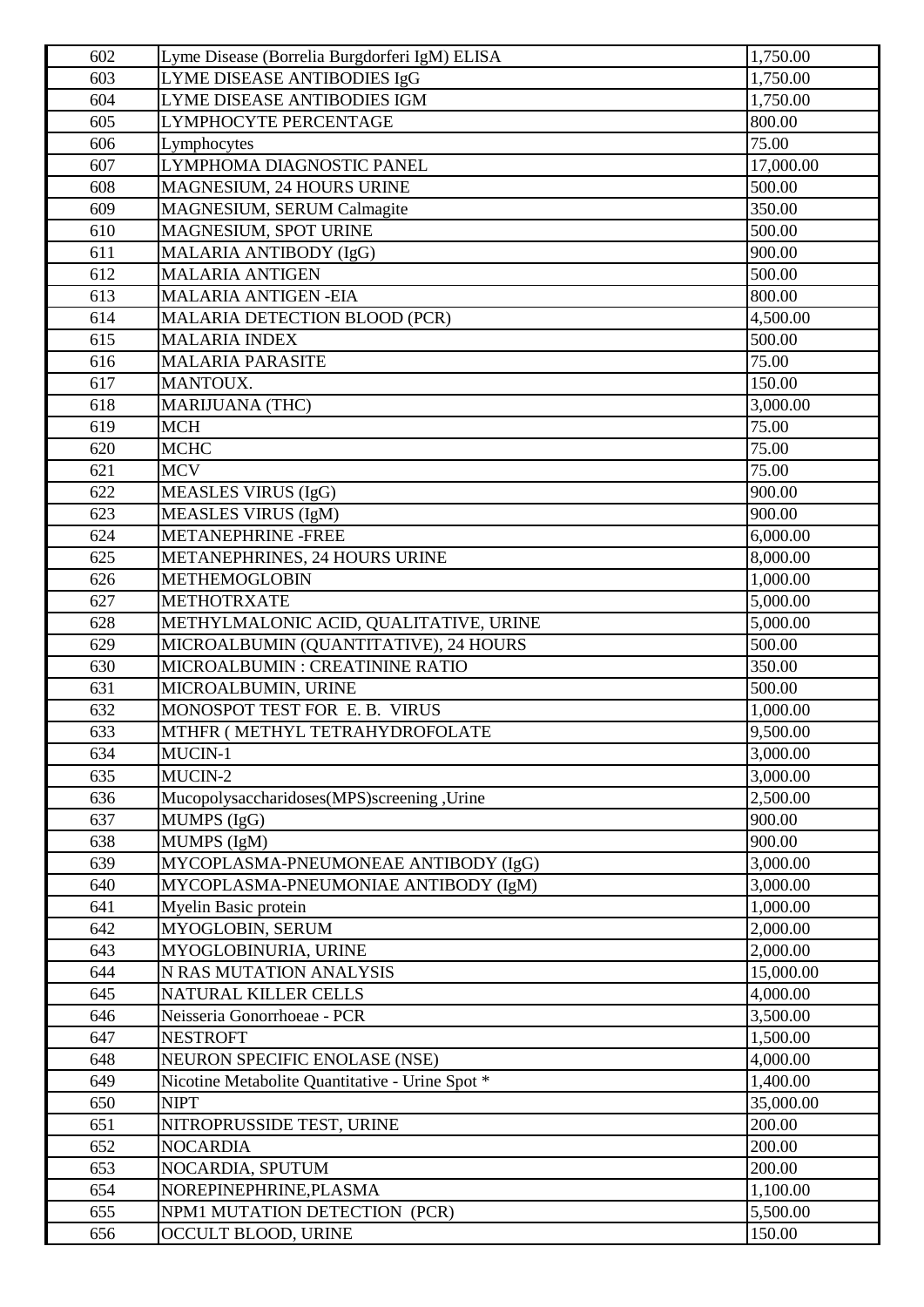| 602 | Lyme Disease (Borrelia Burgdorferi IgM) ELISA   | 1,750.00  |
|-----|-------------------------------------------------|-----------|
| 603 | LYME DISEASE ANTIBODIES IgG                     | 1,750.00  |
| 604 | LYME DISEASE ANTIBODIES IGM                     | 1,750.00  |
| 605 | LYMPHOCYTE PERCENTAGE                           | 800.00    |
| 606 | Lymphocytes                                     | 75.00     |
| 607 | LYMPHOMA DIAGNOSTIC PANEL                       | 17,000.00 |
| 608 | <b>MAGNESIUM, 24 HOURS URINE</b>                | 500.00    |
| 609 | MAGNESIUM, SERUM Calmagite                      | 350.00    |
| 610 | MAGNESIUM, SPOT URINE                           | 500.00    |
| 611 | MALARIA ANTIBODY (IgG)                          | 900.00    |
| 612 | <b>MALARIA ANTIGEN</b>                          | 500.00    |
| 613 | <b>MALARIA ANTIGEN-EIA</b>                      | 800.00    |
| 614 | <b>MALARIA DETECTION BLOOD (PCR)</b>            | 4,500.00  |
| 615 | <b>MALARIA INDEX</b>                            | 500.00    |
| 616 | <b>MALARIA PARASITE</b>                         | 75.00     |
| 617 | MANTOUX.                                        | 150.00    |
| 618 | <b>MARIJUANA (THC)</b>                          | 3,000.00  |
| 619 | <b>MCH</b>                                      | 75.00     |
| 620 | <b>MCHC</b>                                     | 75.00     |
| 621 | <b>MCV</b>                                      | 75.00     |
| 622 | <b>MEASLES VIRUS (IgG)</b>                      | 900.00    |
| 623 | <b>MEASLES VIRUS (IgM)</b>                      | 900.00    |
| 624 | <b>METANEPHRINE-FREE</b>                        | 6,000.00  |
| 625 | METANEPHRINES, 24 HOURS URINE                   | 8,000.00  |
| 626 | <b>METHEMOGLOBIN</b>                            | 1,000.00  |
| 627 | <b>METHOTRXATE</b>                              | 5,000.00  |
| 628 | METHYLMALONIC ACID, QUALITATIVE, URINE          | 5,000.00  |
| 629 | MICROALBUMIN (QUANTITATIVE), 24 HOURS           | 500.00    |
| 630 | MICROALBUMIN: CREATININE RATIO                  | 350.00    |
| 631 | MICROALBUMIN, URINE                             | 500.00    |
| 632 | MONOSPOT TEST FOR E.B. VIRUS                    | 1,000.00  |
| 633 | MTHFR (METHYL TETRAHYDROFOLATE                  | 9,500.00  |
| 634 | MUCIN-1                                         | 3,000.00  |
| 635 | MUCIN-2                                         | 3,000.00  |
| 636 | Mucopolysaccharidoses(MPS)screening, Urine      | 2,500.00  |
| 637 | MUMPS (IgG)                                     | 900.00    |
| 638 | MUMPS (IgM)                                     | 900.00    |
| 639 | MYCOPLASMA-PNEUMONEAE ANTIBODY (IgG)            | 3,000.00  |
| 640 | MYCOPLASMA-PNEUMONIAE ANTIBODY (IgM)            | 3,000.00  |
| 641 | Myelin Basic protein                            | 1,000.00  |
| 642 | MYOGLOBIN, SERUM                                | 2,000.00  |
| 643 | MYOGLOBINURIA, URINE                            | 2,000.00  |
| 644 | N RAS MUTATION ANALYSIS                         | 15,000.00 |
| 645 | NATURAL KILLER CELLS                            | 4,000.00  |
| 646 | Neisseria Gonorrhoeae - PCR                     | 3,500.00  |
| 647 | <b>NESTROFT</b>                                 | 1,500.00  |
| 648 | NEURON SPECIFIC ENOLASE (NSE)                   | 4,000.00  |
| 649 | Nicotine Metabolite Quantitative - Urine Spot * | 1,400.00  |
| 650 | <b>NIPT</b>                                     | 35,000.00 |
| 651 | NITROPRUSSIDE TEST, URINE                       | 200.00    |
| 652 | <b>NOCARDIA</b>                                 | 200.00    |
| 653 | NOCARDIA, SPUTUM                                | 200.00    |
| 654 | NOREPINEPHRINE, PLASMA                          | 1,100.00  |
| 655 | NPM1 MUTATION DETECTION (PCR)                   | 5,500.00  |
| 656 | OCCULT BLOOD, URINE                             | 150.00    |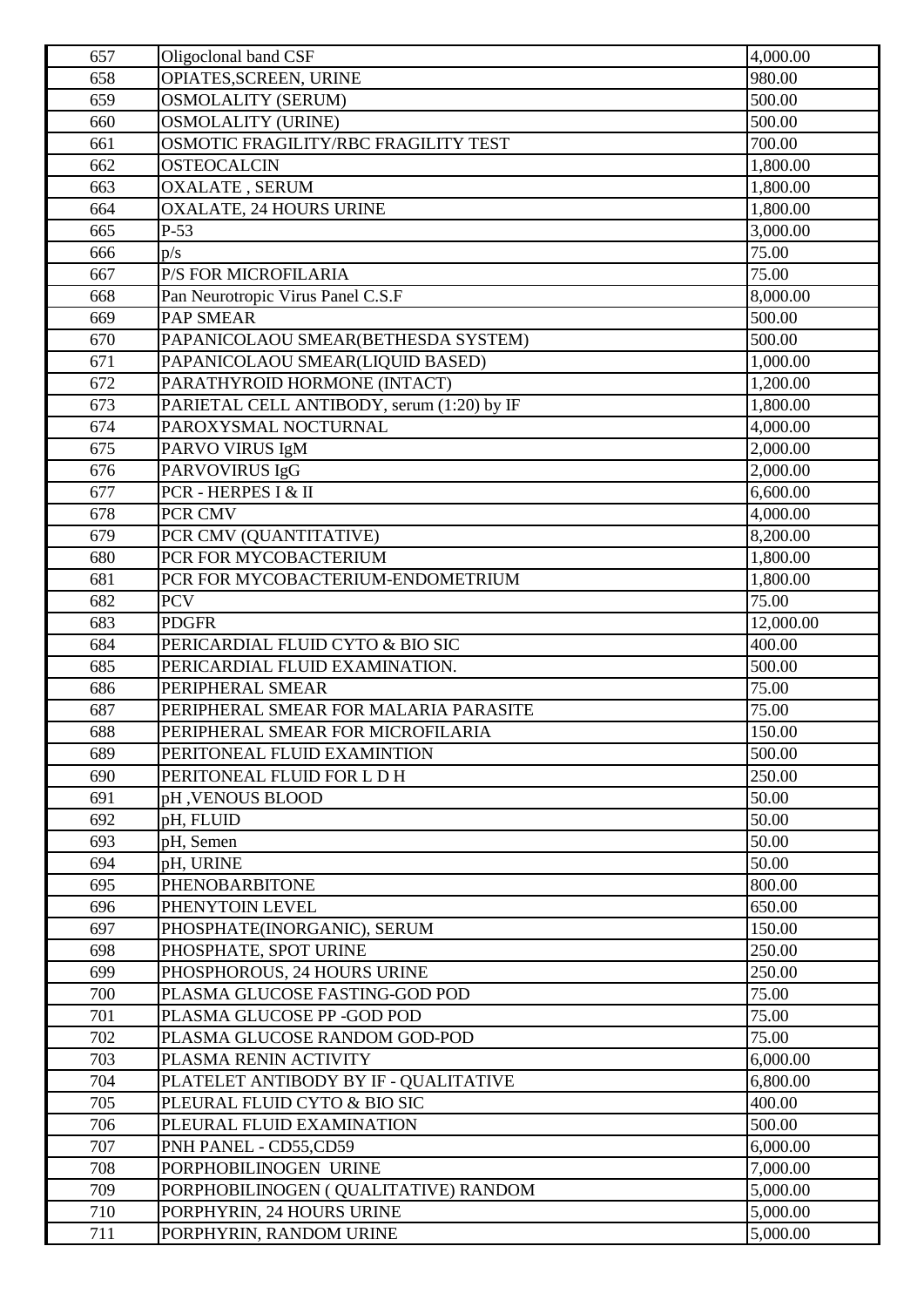| 657 | Oligoclonal band CSF                       | 4,000.00  |
|-----|--------------------------------------------|-----------|
| 658 | OPIATES, SCREEN, URINE                     | 980.00    |
| 659 | <b>OSMOLALITY (SERUM)</b>                  | 500.00    |
| 660 | <b>OSMOLALITY (URINE)</b>                  | 500.00    |
| 661 | OSMOTIC FRAGILITY/RBC FRAGILITY TEST       | 700.00    |
| 662 | <b>OSTEOCALCIN</b>                         | 1,800.00  |
| 663 | OXALATE, SERUM                             | 1,800.00  |
| 664 | <b>OXALATE, 24 HOURS URINE</b>             | 1,800.00  |
| 665 | $P-53$                                     | 3,000.00  |
| 666 | p/s                                        | 75.00     |
| 667 | P/S FOR MICROFILARIA                       | 75.00     |
| 668 | Pan Neurotropic Virus Panel C.S.F          | 8,000.00  |
| 669 | <b>PAP SMEAR</b>                           | 500.00    |
| 670 | PAPANICOLAOU SMEAR(BETHESDA SYSTEM)        | 500.00    |
| 671 | PAPANICOLAOU SMEAR(LIQUID BASED)           | 1,000.00  |
| 672 | PARATHYROID HORMONE (INTACT)               | 1,200.00  |
| 673 | PARIETAL CELL ANTIBODY, serum (1:20) by IF | 1,800.00  |
| 674 | PAROXYSMAL NOCTURNAL                       | 4,000.00  |
| 675 | PARVO VIRUS IgM                            | 2,000.00  |
| 676 | PARVOVIRUS IgG                             | 2,000.00  |
| 677 | PCR - HERPES I & II                        | 6,600.00  |
| 678 | PCR CMV                                    | 4,000.00  |
| 679 | PCR CMV (QUANTITATIVE)                     | 8,200.00  |
| 680 | PCR FOR MYCOBACTERIUM                      | 1,800.00  |
| 681 | PCR FOR MYCOBACTERIUM-ENDOMETRIUM          | 1,800.00  |
| 682 | <b>PCV</b>                                 | 75.00     |
| 683 | <b>PDGFR</b>                               | 12,000.00 |
| 684 | PERICARDIAL FLUID CYTO & BIO SIC           | 400.00    |
| 685 | PERICARDIAL FLUID EXAMINATION.             | 500.00    |
| 686 | PERIPHERAL SMEAR                           | 75.00     |
| 687 | PERIPHERAL SMEAR FOR MALARIA PARASITE      | 75.00     |
| 688 | PERIPHERAL SMEAR FOR MICROFILARIA          | 150.00    |
| 689 | PERITONEAL FLUID EXAMINTION                | 500.00    |
| 690 | PERITONEAL FLUID FOR L D H                 | 250.00    |
| 691 | pH, VENOUS BLOOD                           | 50.00     |
| 692 | pH, FLUID                                  | 50.00     |
| 693 | pH, Semen                                  | 50.00     |
| 694 | pH, URINE                                  | 50.00     |
| 695 | <b>PHENOBARBITONE</b>                      | 800.00    |
| 696 | PHENYTOIN LEVEL                            | 650.00    |
| 697 | PHOSPHATE(INORGANIC), SERUM                | 150.00    |
| 698 | PHOSPHATE, SPOT URINE                      | 250.00    |
| 699 | PHOSPHOROUS, 24 HOURS URINE                | 250.00    |
| 700 | PLASMA GLUCOSE FASTING-GOD POD             | 75.00     |
| 701 | PLASMA GLUCOSE PP -GOD POD                 | 75.00     |
| 702 | PLASMA GLUCOSE RANDOM GOD-POD              | 75.00     |
| 703 | PLASMA RENIN ACTIVITY                      | 6,000.00  |
| 704 | PLATELET ANTIBODY BY IF - QUALITATIVE      | 6,800.00  |
| 705 | PLEURAL FLUID CYTO & BIO SIC               | 400.00    |
| 706 | PLEURAL FLUID EXAMINATION                  | 500.00    |
| 707 | PNH PANEL - CD55,CD59                      | 6,000.00  |
| 708 | PORPHOBILINOGEN URINE                      | 7,000.00  |
| 709 | PORPHOBILINOGEN ( QUALITATIVE) RANDOM      | 5,000.00  |
| 710 | PORPHYRIN, 24 HOURS URINE                  | 5,000.00  |
| 711 | PORPHYRIN, RANDOM URINE                    | 5,000.00  |
|     |                                            |           |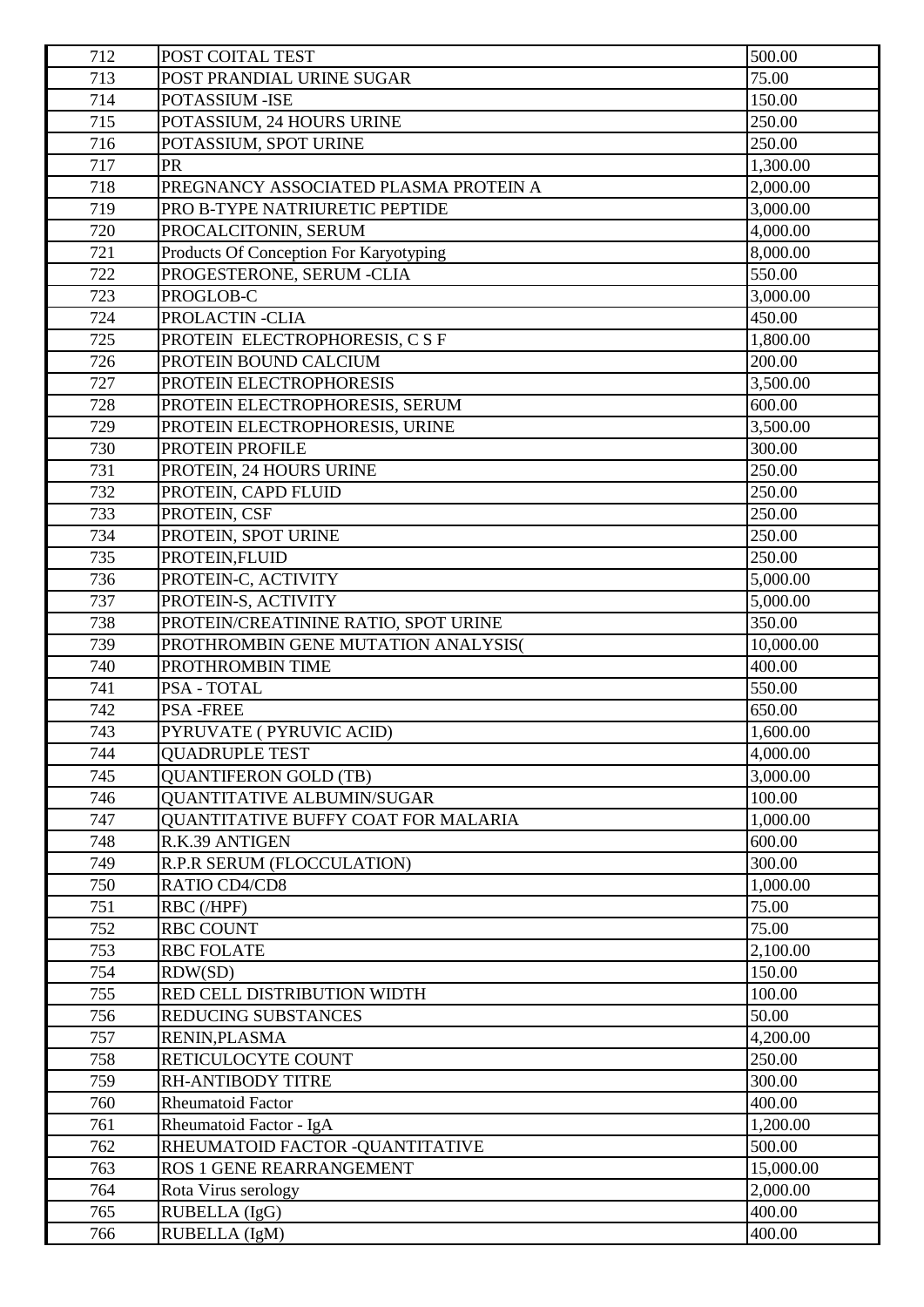| 712 | POST COITAL TEST                           | 500.00    |
|-----|--------------------------------------------|-----------|
| 713 | POST PRANDIAL URINE SUGAR                  | 75.00     |
| 714 | POTASSIUM - ISE                            | 150.00    |
| 715 | POTASSIUM, 24 HOURS URINE                  | 250.00    |
| 716 | POTASSIUM, SPOT URINE                      | 250.00    |
| 717 | <b>PR</b>                                  | 1,300.00  |
| 718 | PREGNANCY ASSOCIATED PLASMA PROTEIN A      | 2,000.00  |
| 719 | PRO B-TYPE NATRIURETIC PEPTIDE             | 3,000.00  |
| 720 | PROCALCITONIN, SERUM                       | 4,000.00  |
| 721 | Products Of Conception For Karyotyping     | 8,000.00  |
| 722 | PROGESTERONE, SERUM -CLIA                  | 550.00    |
| 723 | PROGLOB-C                                  | 3,000.00  |
| 724 | PROLACTIN-CLIA                             | 450.00    |
| 725 | PROTEIN ELECTROPHORESIS, C S F             | 1,800.00  |
| 726 | PROTEIN BOUND CALCIUM                      | 200.00    |
| 727 | PROTEIN ELECTROPHORESIS                    | 3,500.00  |
| 728 | PROTEIN ELECTROPHORESIS, SERUM             | 600.00    |
| 729 | PROTEIN ELECTROPHORESIS, URINE             | 3,500.00  |
| 730 | PROTEIN PROFILE                            | 300.00    |
| 731 | PROTEIN, 24 HOURS URINE                    | 250.00    |
| 732 | PROTEIN, CAPD FLUID                        | 250.00    |
| 733 | PROTEIN, CSF                               | 250.00    |
| 734 | PROTEIN, SPOT URINE                        | 250.00    |
| 735 | PROTEIN, FLUID                             | 250.00    |
| 736 | PROTEIN-C, ACTIVITY                        | 5,000.00  |
| 737 | PROTEIN-S, ACTIVITY                        | 5,000.00  |
| 738 | PROTEIN/CREATININE RATIO, SPOT URINE       | 350.00    |
| 739 | PROTHROMBIN GENE MUTATION ANALYSIS(        | 10,000.00 |
| 740 | PROTHROMBIN TIME                           | 400.00    |
| 741 | PSA - TOTAL                                | 550.00    |
| 742 | <b>PSA-FREE</b>                            | 650.00    |
| 743 | PYRUVATE (PYRUVIC ACID)                    | 1,600.00  |
| 744 | <b>QUADRUPLE TEST</b>                      | 4,000.00  |
| 745 | <b>QUANTIFERON GOLD (TB)</b>               | 3,000.00  |
| 746 | <b>OUANTITATIVE ALBUMIN/SUGAR</b>          | 100.00    |
| 747 | <b>QUANTITATIVE BUFFY COAT FOR MALARIA</b> | 1,000.00  |
| 748 | R.K.39 ANTIGEN                             | 600.00    |
| 749 | R.P.R SERUM (FLOCCULATION)                 | 300.00    |
| 750 | <b>RATIO CD4/CD8</b>                       | 1,000.00  |
| 751 | RBC (/HPF)                                 | 75.00     |
| 752 | <b>RBC COUNT</b>                           | 75.00     |
| 753 | <b>RBC FOLATE</b>                          | 2,100.00  |
| 754 | RDW(SD)                                    | 150.00    |
| 755 | RED CELL DISTRIBUTION WIDTH                | 100.00    |
| 756 | REDUCING SUBSTANCES                        | 50.00     |
| 757 | RENIN, PLASMA                              | 4,200.00  |
| 758 | RETICULOCYTE COUNT                         | 250.00    |
| 759 | <b>RH-ANTIBODY TITRE</b>                   | 300.00    |
| 760 | <b>Rheumatoid Factor</b>                   | 400.00    |
| 761 | Rheumatoid Factor - IgA                    | 1,200.00  |
| 762 | RHEUMATOID FACTOR - QUANTITATIVE           | 500.00    |
| 763 | ROS 1 GENE REARRANGEMENT                   | 15,000.00 |
| 764 | Rota Virus serology                        | 2,000.00  |
| 765 | RUBELLA (IgG)                              | 400.00    |
| 766 | RUBELLA (IgM)                              | 400.00    |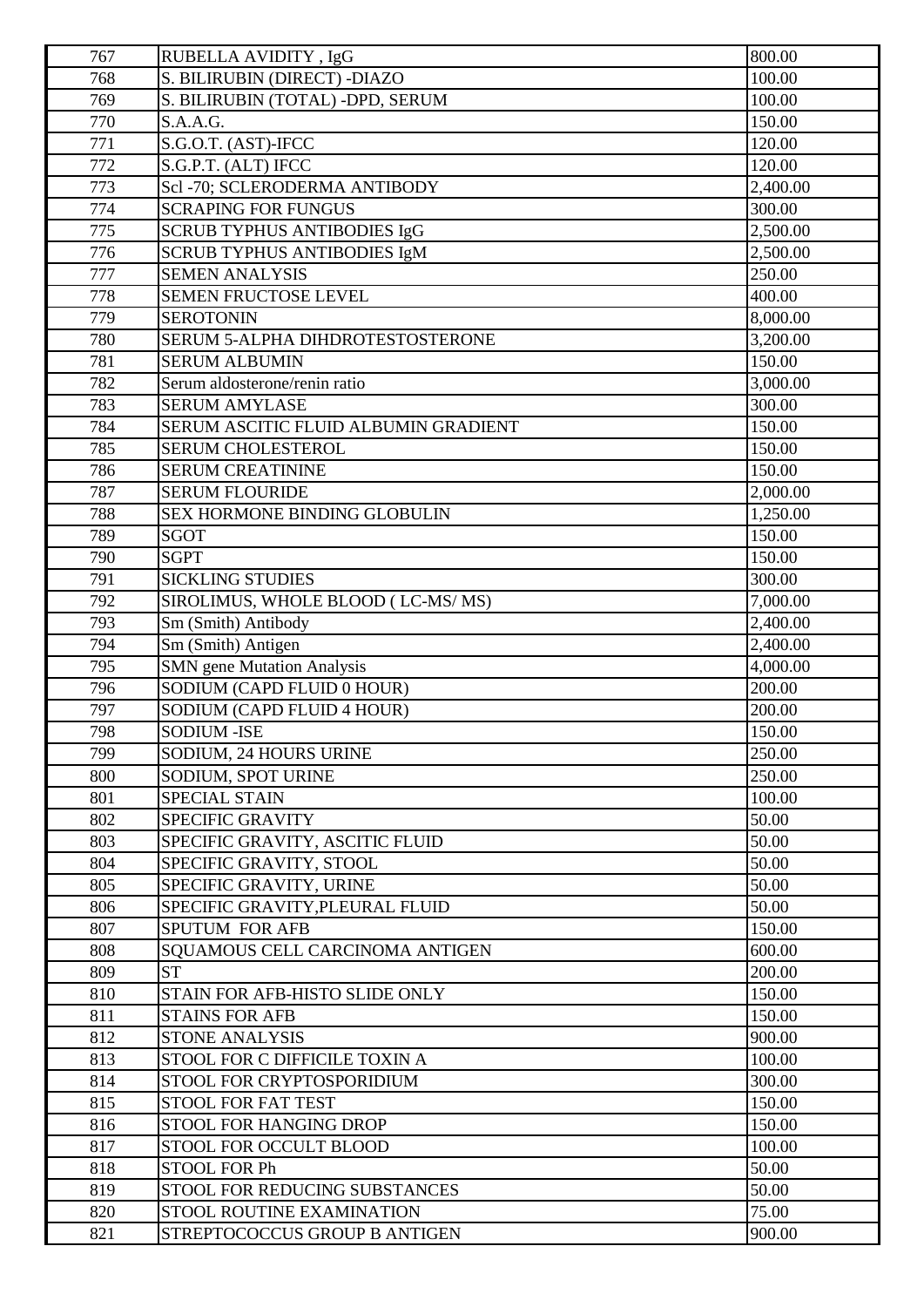| 767 | RUBELLA AVIDITY, IgG                 | 800.00   |
|-----|--------------------------------------|----------|
| 768 | S. BILIRUBIN (DIRECT) - DIAZO        | 100.00   |
| 769 | S. BILIRUBIN (TOTAL) - DPD, SERUM    | 100.00   |
| 770 | S.A.A.G.                             | 150.00   |
| 771 | S.G.O.T. (AST)-IFCC                  | 120.00   |
| 772 | S.G.P.T. (ALT) IFCC                  | 120.00   |
| 773 | Scl-70; SCLERODERMA ANTIBODY         | 2,400.00 |
| 774 | <b>SCRAPING FOR FUNGUS</b>           | 300.00   |
| 775 | <b>SCRUB TYPHUS ANTIBODIES IgG</b>   | 2,500.00 |
| 776 | <b>SCRUB TYPHUS ANTIBODIES IgM</b>   | 2,500.00 |
| 777 | <b>SEMEN ANALYSIS</b>                | 250.00   |
| 778 | <b>SEMEN FRUCTOSE LEVEL</b>          | 400.00   |
| 779 | <b>SEROTONIN</b>                     | 8,000.00 |
| 780 | SERUM 5-ALPHA DIHDROTESTOSTERONE     | 3,200.00 |
| 781 | <b>SERUM ALBUMIN</b>                 | 150.00   |
| 782 | Serum aldosterone/renin ratio        | 3,000.00 |
| 783 | <b>SERUM AMYLASE</b>                 | 300.00   |
| 784 | SERUM ASCITIC FLUID ALBUMIN GRADIENT | 150.00   |
| 785 | <b>SERUM CHOLESTEROL</b>             | 150.00   |
| 786 | <b>SERUM CREATININE</b>              | 150.00   |
| 787 | <b>SERUM FLOURIDE</b>                | 2,000.00 |
| 788 | SEX HORMONE BINDING GLOBULIN         | 1,250.00 |
| 789 | <b>SGOT</b>                          | 150.00   |
| 790 | <b>SGPT</b>                          | 150.00   |
| 791 | <b>SICKLING STUDIES</b>              | 300.00   |
| 792 | SIROLIMUS, WHOLE BLOOD (LC-MS/MS)    | 7,000.00 |
| 793 | Sm (Smith) Antibody                  | 2,400.00 |
| 794 | Sm (Smith) Antigen                   | 2,400.00 |
| 795 | <b>SMN</b> gene Mutation Analysis    | 4,000.00 |
| 796 | SODIUM (CAPD FLUID 0 HOUR)           | 200.00   |
| 797 | SODIUM (CAPD FLUID 4 HOUR)           | 200.00   |
| 798 | <b>SODIUM - ISE</b>                  | 150.00   |
| 799 | SODIUM, 24 HOURS URINE               | 250.00   |
| 800 | <b>SODIUM, SPOT URINE</b>            | 250.00   |
| 801 | <b>SPECIAL STAIN</b>                 | 100.00   |
| 802 | <b>SPECIFIC GRAVITY</b>              | 50.00    |
| 803 | SPECIFIC GRAVITY, ASCITIC FLUID      | 50.00    |
| 804 | SPECIFIC GRAVITY, STOOL              | 50.00    |
| 805 | SPECIFIC GRAVITY, URINE              | 50.00    |
| 806 | SPECIFIC GRAVITY, PLEURAL FLUID      | 50.00    |
| 807 | <b>SPUTUM FOR AFB</b>                | 150.00   |
| 808 | SQUAMOUS CELL CARCINOMA ANTIGEN      | 600.00   |
| 809 | <b>ST</b>                            | 200.00   |
| 810 | STAIN FOR AFB-HISTO SLIDE ONLY       | 150.00   |
| 811 | <b>STAINS FOR AFB</b>                | 150.00   |
| 812 | <b>STONE ANALYSIS</b>                | 900.00   |
| 813 | STOOL FOR C DIFFICILE TOXIN A        | 100.00   |
| 814 | STOOL FOR CRYPTOSPORIDIUM            | 300.00   |
| 815 | STOOL FOR FAT TEST                   | 150.00   |
| 816 | <b>STOOL FOR HANGING DROP</b>        | 150.00   |
| 817 | STOOL FOR OCCULT BLOOD               | 100.00   |
| 818 | STOOL FOR Ph                         | 50.00    |
| 819 | STOOL FOR REDUCING SUBSTANCES        | 50.00    |
| 820 | <b>STOOL ROUTINE EXAMINATION</b>     | 75.00    |
| 821 | STREPTOCOCCUS GROUP B ANTIGEN        | 900.00   |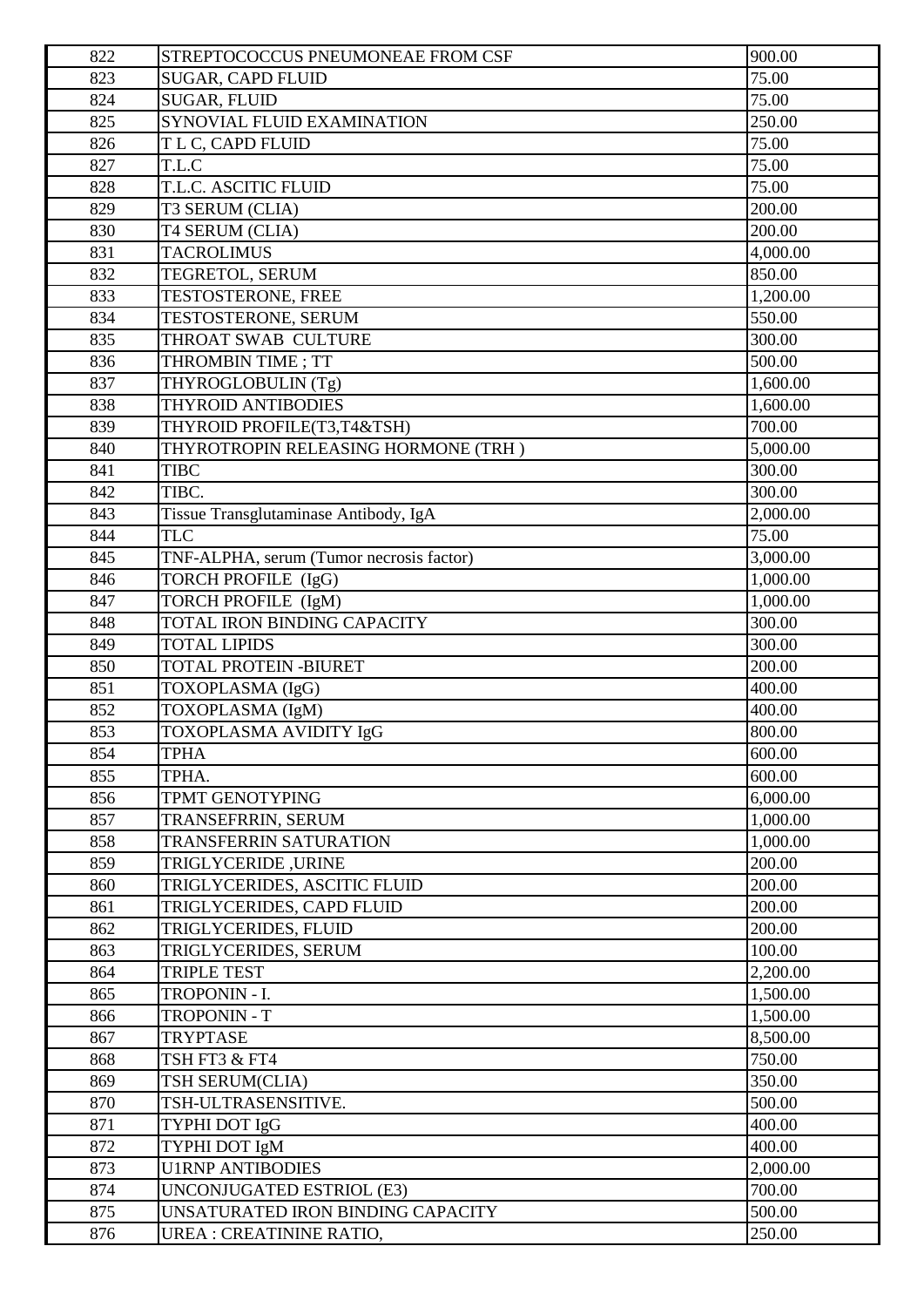| 822        | STREPTOCOCCUS PNEUMONEAE FROM CSF                             | 900.00           |
|------------|---------------------------------------------------------------|------------------|
| 823        | <b>SUGAR, CAPD FLUID</b>                                      | 75.00            |
| 824        | <b>SUGAR, FLUID</b>                                           | 75.00            |
| 825        | SYNOVIAL FLUID EXAMINATION                                    | 250.00           |
| 826        | T L C, CAPD FLUID                                             | 75.00            |
| 827        | $T.L.\overline{C}$                                            | 75.00            |
| 828        | T.L.C. ASCITIC FLUID                                          | 75.00            |
| 829        | T3 SERUM (CLIA)                                               | 200.00           |
| 830        | T4 SERUM (CLIA)                                               | 200.00           |
| 831        | <b>TACROLIMUS</b>                                             | 4,000.00         |
| 832        | TEGRETOL, SERUM                                               | 850.00           |
| 833        | TESTOSTERONE, FREE                                            | 1,200.00         |
| 834        | TESTOSTERONE, SERUM                                           | 550.00           |
| 835        | THROAT SWAB CULTURE                                           | 300.00           |
| 836        | <b>THROMBIN TIME ; TT</b>                                     | 500.00           |
| 837        | THYROGLOBULIN (Tg)                                            | 1,600.00         |
| 838        | <b>THYROID ANTIBODIES</b>                                     | 1,600.00         |
| 839        | THYROID PROFILE(T3,T4&TSH)                                    | 700.00           |
| 840        | THYROTROPIN RELEASING HORMONE (TRH )                          | 5,000.00         |
| 841        | <b>TIBC</b>                                                   | 300.00           |
| 842        | TIBC.                                                         | 300.00           |
| 843        | Tissue Transglutaminase Antibody, IgA                         | 2,000.00         |
| 844        | <b>TLC</b>                                                    | 75.00            |
| 845        | TNF-ALPHA, serum (Tumor necrosis factor)                      | 3,000.00         |
| 846        | TORCH PROFILE (IgG)                                           | 1,000.00         |
| 847        | TORCH PROFILE (IgM)                                           | 1,000.00         |
| 848        | TOTAL IRON BINDING CAPACITY                                   | 300.00           |
| 849        | <b>TOTAL LIPIDS</b>                                           | 300.00           |
| 850        | TOTAL PROTEIN - BIURET                                        | 200.00           |
| 851        | TOXOPLASMA (IgG)                                              | 400.00           |
| 852        | TOXOPLASMA (IgM)                                              | 400.00           |
| 853        | <b>TOXOPLASMA AVIDITY IgG</b>                                 | 800.00           |
| 854        | <b>TPHA</b>                                                   | 600.00           |
| 855        | TPHA.                                                         | 600.00           |
| 856        | <b>TPMT GENOTYPING</b>                                        | 6,000.00         |
| 857        | TRANSEFRRIN, SERUM                                            | 1,000.00         |
| 858        | <b>TRANSFERRIN SATURATION</b>                                 | 1,000.00         |
| 859        | TRIGLYCERIDE, URINE                                           | 200.00           |
| 860        | TRIGLYCERIDES, ASCITIC FLUID                                  | 200.00           |
| 861        | TRIGLYCERIDES, CAPD FLUID                                     | 200.00           |
| 862        | TRIGLYCERIDES, FLUID                                          | 200.00           |
| 863        | TRIGLYCERIDES, SERUM                                          | 100.00           |
| 864        | <b>TRIPLE TEST</b>                                            | 2,200.00         |
| 865        | <b>TROPONIN - I.</b>                                          | 1,500.00         |
| 866        | <b>TROPONIN - T</b>                                           | 1,500.00         |
| 867        | <b>TRYPTASE</b>                                               | 8,500.00         |
| 868        | TSH FT3 & FT4                                                 | 750.00           |
| 869        | TSH SERUM(CLIA)                                               | 350.00           |
| 870        | TSH-ULTRASENSITIVE.                                           | 500.00           |
| 871        | TYPHI DOT IgG                                                 | 400.00           |
| 872        | TYPHI DOT IgM                                                 | 400.00           |
| 873        | <b>U1RNP ANTIBODIES</b>                                       | 2,000.00         |
| 874<br>875 | <b>UNCONJUGATED ESTRIOL (E3)</b>                              | 700.00           |
| 876        | UNSATURATED IRON BINDING CAPACITY<br>UREA : CREATININE RATIO, | 500.00<br>250.00 |
|            |                                                               |                  |